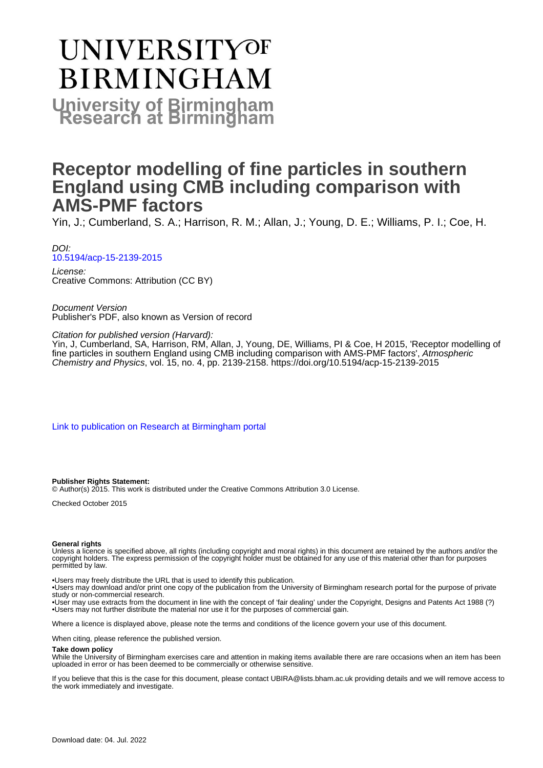# **UNIVERSITYOF BIRMINGHAM University of Birmingham**

# **Receptor modelling of fine particles in southern England using CMB including comparison with AMS-PMF factors**

Yin, J.; Cumberland, S. A.; Harrison, R. M.; Allan, J.; Young, D. E.; Williams, P. I.; Coe, H.

DOI: [10.5194/acp-15-2139-2015](https://doi.org/10.5194/acp-15-2139-2015)

License: Creative Commons: Attribution (CC BY)

Document Version Publisher's PDF, also known as Version of record

Citation for published version (Harvard):

Yin, J, Cumberland, SA, Harrison, RM, Allan, J, Young, DE, Williams, PI & Coe, H 2015, 'Receptor modelling of fine particles in southern England using CMB including comparison with AMS-PMF factors', Atmospheric Chemistry and Physics, vol. 15, no. 4, pp. 2139-2158.<https://doi.org/10.5194/acp-15-2139-2015>

[Link to publication on Research at Birmingham portal](https://birmingham.elsevierpure.com/en/publications/8cfac9c9-6ca8-44cb-9cbc-4b8689ab79d4)

**Publisher Rights Statement:**

© Author(s) 2015. This work is distributed under the Creative Commons Attribution 3.0 License.

Checked October 2015

#### **General rights**

Unless a licence is specified above, all rights (including copyright and moral rights) in this document are retained by the authors and/or the copyright holders. The express permission of the copyright holder must be obtained for any use of this material other than for purposes permitted by law.

• Users may freely distribute the URL that is used to identify this publication.

• Users may download and/or print one copy of the publication from the University of Birmingham research portal for the purpose of private study or non-commercial research.

• User may use extracts from the document in line with the concept of 'fair dealing' under the Copyright, Designs and Patents Act 1988 (?) • Users may not further distribute the material nor use it for the purposes of commercial gain.

Where a licence is displayed above, please note the terms and conditions of the licence govern your use of this document.

When citing, please reference the published version.

#### **Take down policy**

While the University of Birmingham exercises care and attention in making items available there are rare occasions when an item has been uploaded in error or has been deemed to be commercially or otherwise sensitive.

If you believe that this is the case for this document, please contact UBIRA@lists.bham.ac.uk providing details and we will remove access to the work immediately and investigate.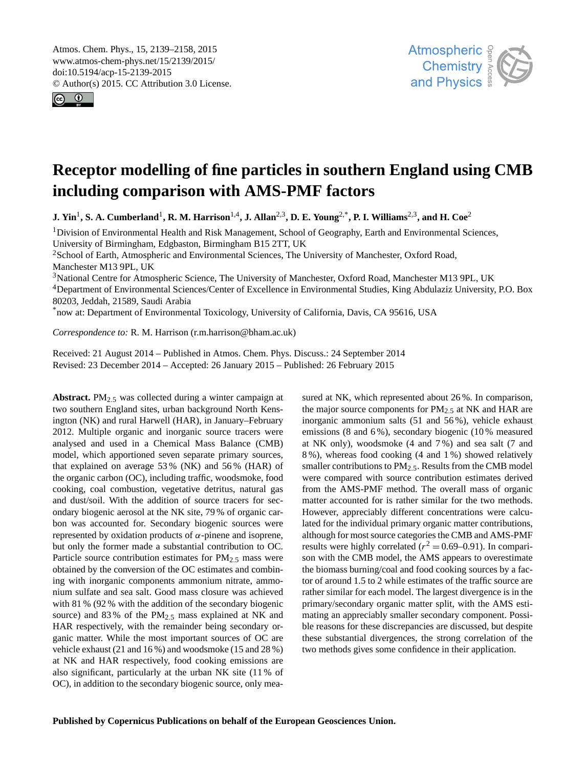<span id="page-1-1"></span>Atmos. Chem. Phys., 15, 2139–2158, 2015 www.atmos-chem-phys.net/15/2139/2015/ doi:10.5194/acp-15-2139-2015 © Author(s) 2015. CC Attribution 3.0 License.





# **Receptor modelling of fine particles in southern England using CMB including comparison with AMS-PMF factors**

 $\bf{J. Yin}^1, \bf{S. A.}$  $\bf{J. Yin}^1, \bf{S. A.}$  $\bf{J. Yin}^1, \bf{S. A.}$   $\bf{Cumberland}^1, \bf{R. M.}$   $\bf{Harrison}^{1,4}, \bf{J.}$  $\bf{Harrison}^{1,4}, \bf{J.}$  $\bf{Harrison}^{1,4}, \bf{J.}$   $\bf{Allan}^{2,3}, \bf{D. E.}$  $\bf{Allan}^{2,3}, \bf{D. E.}$  $\bf{Allan}^{2,3}, \bf{D. E.}$   $\bf{Young}^{2, *}, \bf{P. I.}$  $\bf{Young}^{2, *}, \bf{P. I.}$  $\bf{Young}^{2, *}, \bf{P. I.}$   $\bf{Williams}^{2,3}, \bf{and H.}$   $\bf{Coe}^2$ 

<sup>1</sup>Division of Environmental Health and Risk Management, School of Geography, Earth and Environmental Sciences, University of Birmingham, Edgbaston, Birmingham B15 2TT, UK

<sup>2</sup>School of Earth, Atmospheric and Environmental Sciences, The University of Manchester, Oxford Road, Manchester M13 9PL, UK

<sup>3</sup>National Centre for Atmospheric Science, The University of Manchester, Oxford Road, Manchester M13 9PL, UK

<sup>4</sup>Department of Environmental Sciences/Center of Excellence in Environmental Studies, King Abdulaziz University, P.O. Box 80203, Jeddah, 21589, Saudi Arabia

\*now at: Department of Environmental Toxicology, University of California, Davis, CA 95616, USA

*Correspondence to:* R. M. Harrison (r.m.harrison@bham.ac.uk)

Received: 21 August 2014 – Published in Atmos. Chem. Phys. Discuss.: 24 September 2014 Revised: 23 December 2014 – Accepted: 26 January 2015 – Published: 26 February 2015

<span id="page-1-0"></span>Abstract. PM<sub>2.5</sub> was collected during a winter campaign at two southern England sites, urban background North Kensington (NK) and rural Harwell (HAR), in January–February 2012. Multiple organic and inorganic source tracers were analysed and used in a Chemical Mass Balance (CMB) model, which apportioned seven separate primary sources, that explained on average 53 % (NK) and 56 % (HAR) of the organic carbon (OC), including traffic, woodsmoke, food cooking, coal combustion, vegetative detritus, natural gas and dust/soil. With the addition of source tracers for secondary biogenic aerosol at the NK site, 79 % of organic carbon was accounted for. Secondary biogenic sources were represented by oxidation products of α-pinene and isoprene, but only the former made a substantial contribution to OC. Particle source contribution estimates for  $PM_{2.5}$  mass were obtained by the conversion of the OC estimates and combining with inorganic components ammonium nitrate, ammonium sulfate and sea salt. Good mass closure was achieved with 81 % (92 % with the addition of the secondary biogenic source) and 83% of the  $PM_{2.5}$  mass explained at NK and HAR respectively, with the remainder being secondary organic matter. While the most important sources of OC are vehicle exhaust (21 and 16 %) and woodsmoke (15 and 28 %) at NK and HAR respectively, food cooking emissions are also significant, particularly at the urban NK site (11 % of OC), in addition to the secondary biogenic source, only measured at NK, which represented about 26 %. In comparison, the major source components for  $PM<sub>2.5</sub>$  at NK and HAR are inorganic ammonium salts (51 and 56 %), vehicle exhaust emissions (8 and 6 %), secondary biogenic (10 % measured at NK only), woodsmoke (4 and 7 %) and sea salt (7 and 8 %), whereas food cooking (4 and 1 %) showed relatively smaller contributions to  $PM_2$ , Results from the CMB model were compared with source contribution estimates derived from the AMS-PMF method. The overall mass of organic matter accounted for is rather similar for the two methods. However, appreciably different concentrations were calculated for the individual primary organic matter contributions, although for most source categories the CMB and AMS-PMF results were highly correlated ( $r^2 = 0.69 - 0.91$ ). In comparison with the CMB model, the AMS appears to overestimate the biomass burning/coal and food cooking sources by a factor of around 1.5 to 2 while estimates of the traffic source are rather similar for each model. The largest divergence is in the primary/secondary organic matter split, with the AMS estimating an appreciably smaller secondary component. Possible reasons for these discrepancies are discussed, but despite these substantial divergences, the strong correlation of the two methods gives some confidence in their application.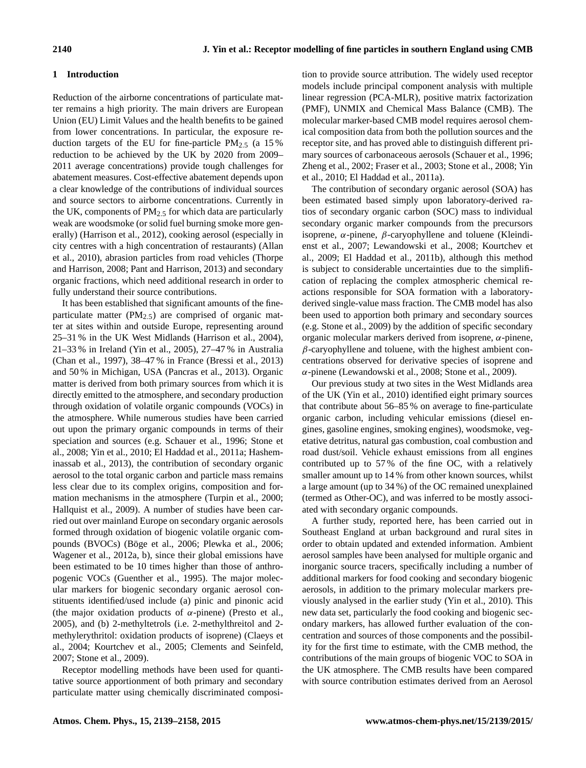# **1 Introduction**

Reduction of the airborne concentrations of particulate matter remains a high priority. The main drivers are European Union (EU) Limit Values and the health benefits to be gained from lower concentrations. In particular, the exposure reduction targets of the EU for fine-particle  $PM_{2.5}$  (a 15%) reduction to be achieved by the UK by 2020 from 2009– 2011 average concentrations) provide tough challenges for abatement measures. Cost-effective abatement depends upon a clear knowledge of the contributions of individual sources and source sectors to airborne concentrations. Currently in the UK, components of  $PM_{2.5}$  for which data are particularly weak are woodsmoke (or solid fuel burning smoke more generally) (Harrison et al., 2012), cooking aerosol (especially in city centres with a high concentration of restaurants) (Allan et al., 2010), abrasion particles from road vehicles (Thorpe and Harrison, 2008; Pant and Harrison, 2013) and secondary organic fractions, which need additional research in order to fully understand their source contributions.

It has been established that significant amounts of the fineparticulate matter  $(PM_{2.5})$  are comprised of organic matter at sites within and outside Europe, representing around 25–31 % in the UK West Midlands (Harrison et al., 2004), 21–33 % in Ireland (Yin et al., 2005), 27–47 % in Australia (Chan et al., 1997), 38–47 % in France (Bressi et al., 2013) and 50 % in Michigan, USA (Pancras et al., 2013). Organic matter is derived from both primary sources from which it is directly emitted to the atmosphere, and secondary production through oxidation of volatile organic compounds (VOCs) in the atmosphere. While numerous studies have been carried out upon the primary organic compounds in terms of their speciation and sources (e.g. Schauer et al., 1996; Stone et al., 2008; Yin et al., 2010; El Haddad et al., 2011a; Hasheminassab et al., 2013), the contribution of secondary organic aerosol to the total organic carbon and particle mass remains less clear due to its complex origins, composition and formation mechanisms in the atmosphere (Turpin et al., 2000; Hallquist et al., 2009). A number of studies have been carried out over mainland Europe on secondary organic aerosols formed through oxidation of biogenic volatile organic compounds (BVOCs) (Böge et al., 2006; Plewka et al., 2006; Wagener et al., 2012a, b), since their global emissions have been estimated to be 10 times higher than those of anthropogenic VOCs (Guenther et al., 1995). The major molecular markers for biogenic secondary organic aerosol constituents identified/used include (a) pinic and pinonic acid (the major oxidation products of  $\alpha$ -pinene) (Presto et al., 2005), and (b) 2-methyltetrols (i.e. 2-methylthreitol and 2 methylerythritol: oxidation products of isoprene) (Claeys et al., 2004; Kourtchev et al., 2005; Clements and Seinfeld, 2007; Stone et al., 2009).

Receptor modelling methods have been used for quantitative source apportionment of both primary and secondary particulate matter using chemically discriminated composition to provide source attribution. The widely used receptor models include principal component analysis with multiple linear regression (PCA-MLR), positive matrix factorization (PMF), UNMIX and Chemical Mass Balance (CMB). The molecular marker-based CMB model requires aerosol chemical composition data from both the pollution sources and the receptor site, and has proved able to distinguish different primary sources of carbonaceous aerosols (Schauer et al., 1996; Zheng et al., 2002; Fraser et al., 2003; Stone et al., 2008; Yin et al., 2010; El Haddad et al., 2011a).

The contribution of secondary organic aerosol (SOA) has been estimated based simply upon laboratory-derived ratios of secondary organic carbon (SOC) mass to individual secondary organic marker compounds from the precursors isoprene, α-pinene, β-caryophyllene and toluene (Kleindienst et al., 2007; Lewandowski et al., 2008; Kourtchev et al., 2009; El Haddad et al., 2011b), although this method is subject to considerable uncertainties due to the simplification of replacing the complex atmospheric chemical reactions responsible for SOA formation with a laboratoryderived single-value mass fraction. The CMB model has also been used to apportion both primary and secondary sources (e.g. Stone et al., 2009) by the addition of specific secondary organic molecular markers derived from isoprene, α-pinene,  $\beta$ -caryophyllene and toluene, with the highest ambient concentrations observed for derivative species of isoprene and α-pinene (Lewandowski et al., 2008; Stone et al., 2009).

Our previous study at two sites in the West Midlands area of the UK (Yin et al., 2010) identified eight primary sources that contribute about 56–85 % on average to fine-particulate organic carbon, including vehicular emissions (diesel engines, gasoline engines, smoking engines), woodsmoke, vegetative detritus, natural gas combustion, coal combustion and road dust/soil. Vehicle exhaust emissions from all engines contributed up to 57 % of the fine OC, with a relatively smaller amount up to 14 % from other known sources, whilst a large amount (up to 34 %) of the OC remained unexplained (termed as Other-OC), and was inferred to be mostly associated with secondary organic compounds.

A further study, reported here, has been carried out in Southeast England at urban background and rural sites in order to obtain updated and extended information. Ambient aerosol samples have been analysed for multiple organic and inorganic source tracers, specifically including a number of additional markers for food cooking and secondary biogenic aerosols, in addition to the primary molecular markers previously analysed in the earlier study (Yin et al., 2010). This new data set, particularly the food cooking and biogenic secondary markers, has allowed further evaluation of the concentration and sources of those components and the possibility for the first time to estimate, with the CMB method, the contributions of the main groups of biogenic VOC to SOA in the UK atmosphere. The CMB results have been compared with source contribution estimates derived from an Aerosol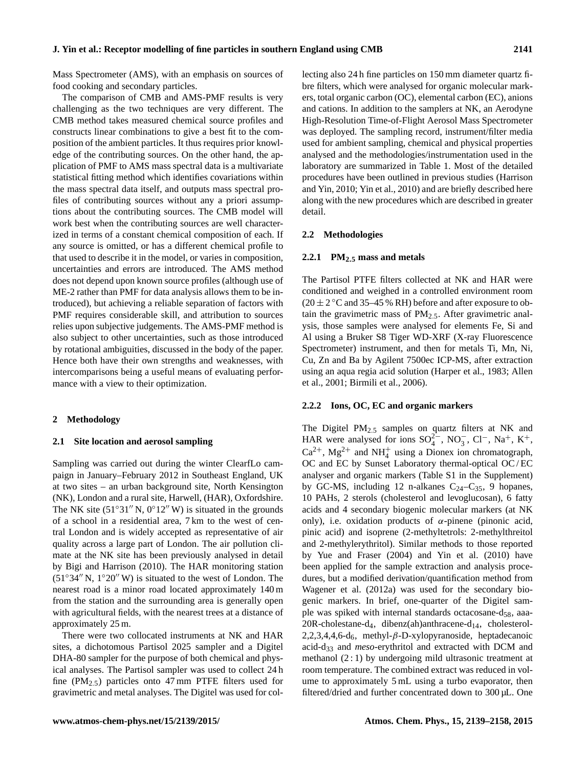Mass Spectrometer (AMS), with an emphasis on sources of food cooking and secondary particles.

The comparison of CMB and AMS-PMF results is very challenging as the two techniques are very different. The CMB method takes measured chemical source profiles and constructs linear combinations to give a best fit to the composition of the ambient particles. It thus requires prior knowledge of the contributing sources. On the other hand, the application of PMF to AMS mass spectral data is a multivariate statistical fitting method which identifies covariations within the mass spectral data itself, and outputs mass spectral profiles of contributing sources without any a priori assumptions about the contributing sources. The CMB model will work best when the contributing sources are well characterized in terms of a constant chemical composition of each. If any source is omitted, or has a different chemical profile to that used to describe it in the model, or varies in composition, uncertainties and errors are introduced. The AMS method does not depend upon known source profiles (although use of ME-2 rather than PMF for data analysis allows them to be introduced), but achieving a reliable separation of factors with PMF requires considerable skill, and attribution to sources relies upon subjective judgements. The AMS-PMF method is also subject to other uncertainties, such as those introduced by rotational ambiguities, discussed in the body of the paper. Hence both have their own strengths and weaknesses, with intercomparisons being a useful means of evaluating performance with a view to their optimization.

#### **2 Methodology**

#### **2.1 Site location and aerosol sampling**

Sampling was carried out during the winter ClearfLo campaign in January–February 2012 in Southeast England, UK at two sites – an urban background site, North Kensington (NK), London and a rural site, Harwell, (HAR), Oxfordshire. The NK site (51°31″ N, 0°12″ W) is situated in the grounds of a school in a residential area, 7 km to the west of central London and is widely accepted as representative of air quality across a large part of London. The air pollution climate at the NK site has been previously analysed in detail by Bigi and Harrison (2010). The HAR monitoring station (51°34″ N, 1°20″ W) is situated to the west of London. The nearest road is a minor road located approximately 140 m from the station and the surrounding area is generally open with agricultural fields, with the nearest trees at a distance of approximately 25 m.

There were two collocated instruments at NK and HAR sites, a dichotomous Partisol 2025 sampler and a Digitel DHA-80 sampler for the purpose of both chemical and physical analyses. The Partisol sampler was used to collect 24 h fine  $(PM_{2.5})$  particles onto 47 mm PTFE filters used for gravimetric and metal analyses. The Digitel was used for collecting also 24 h fine particles on 150 mm diameter quartz fibre filters, which were analysed for organic molecular markers, total organic carbon (OC), elemental carbon (EC), anions and cations. In addition to the samplers at NK, an Aerodyne High-Resolution Time-of-Flight Aerosol Mass Spectrometer was deployed. The sampling record, instrument/filter media used for ambient sampling, chemical and physical properties analysed and the methodologies/instrumentation used in the laboratory are summarized in Table 1. Most of the detailed procedures have been outlined in previous studies (Harrison and Yin, 2010; Yin et al., 2010) and are briefly described here along with the new procedures which are described in greater detail.

#### **2.2 Methodologies**

#### **2.2.1 PM2**.**<sup>5</sup> mass and metals**

The Partisol PTFE filters collected at NK and HAR were conditioned and weighed in a controlled environment room  $(20 \pm 2 \degree C$  and 35–45% RH) before and after exposure to obtain the gravimetric mass of PM2.5. After gravimetric analysis, those samples were analysed for elements Fe, Si and Al using a Bruker S8 Tiger WD-XRF (X-ray Fluorescence Spectrometer) instrument, and then for metals Ti, Mn, Ni, Cu, Zn and Ba by Agilent 7500ec ICP-MS, after extraction using an aqua regia acid solution (Harper et al., 1983; Allen et al., 2001; Birmili et al., 2006).

#### **2.2.2 Ions, OC, EC and organic markers**

The Digitel  $PM_{2.5}$  samples on quartz filters at NK and HAR were analysed for ions  $SO_4^{2-}$ , NO<sub>3</sub>, Cl<sup>-</sup>, Na<sup>+</sup>, K<sup>+</sup>,  $Ca^{2+}$ , Mg<sup>2+</sup> and NH<sub>4</sub><sup>+</sup> using a Dionex ion chromatograph, OC and EC by Sunset Laboratory thermal-optical OC / EC analyser and organic markers (Table S1 in the Supplement) by GC-MS, including 12 n-alkanes  $C_{24}-C_{35}$ , 9 hopanes, 10 PAHs, 2 sterols (cholesterol and levoglucosan), 6 fatty acids and 4 secondary biogenic molecular markers (at NK only), i.e. oxidation products of  $\alpha$ -pinene (pinonic acid, pinic acid) and isoprene (2-methyltetrols: 2-methylthreitol and 2-methylerythritol). Similar methods to those reported by Yue and Fraser (2004) and Yin et al. (2010) have been applied for the sample extraction and analysis procedures, but a modified derivation/quantification method from Wagener et al. (2012a) was used for the secondary biogenic markers. In brief, one-quarter of the Digitel sample was spiked with internal standards octacosane-d<sub>58</sub>, aaa-20R-cholestane-d<sub>4</sub>, dibenz(ah)anthracene-d<sub>14</sub>, cholesterol- $2,2,3,4,4,6$ -d<sub>6</sub>, methyl- $\beta$ -D-xylopyranoside, heptadecanoic acid-d<sup>33</sup> and *meso*-erythritol and extracted with DCM and methanol  $(2:1)$  by undergoing mild ultrasonic treatment at room temperature. The combined extract was reduced in volume to approximately 5 mL using a turbo evaporator, then filtered/dried and further concentrated down to 300 µL. One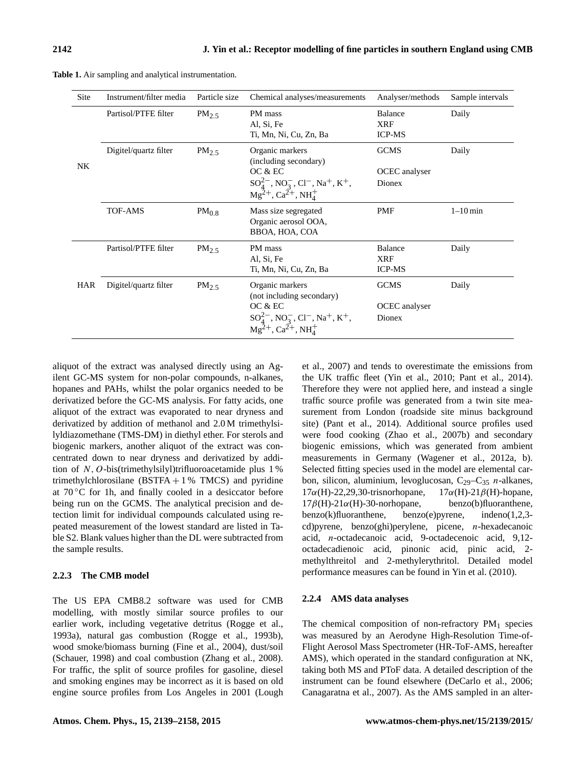| Site       | Instrument/filter media | Particle size | Chemical analyses/measurements                                                                                                                                                                                    | Analyser/methods                              | Sample intervals |
|------------|-------------------------|---------------|-------------------------------------------------------------------------------------------------------------------------------------------------------------------------------------------------------------------|-----------------------------------------------|------------------|
|            | Partisol/PTFE filter    | $PM_2$ 5      | PM mass<br>Al, Si, Fe<br>Ti, Mn, Ni, Cu, Zn, Ba                                                                                                                                                                   | <b>Balance</b><br><b>XRF</b><br><b>ICP-MS</b> | Daily            |
| NK         | Digitel/quartz filter   | $PM_2$ 5      | Organic markers<br>(including secondary)<br>OC & EC<br>$SO_4^{2-}$ , NO <sub>3</sub> , Cl <sup>-</sup> , Na <sup>+</sup> , K <sup>+</sup> ,<br>Mg <sup>2+</sup> , Ca <sup>2+</sup> , NH <sub>1</sub> <sup>+</sup> | <b>GCMS</b><br>OCEC analyser<br>Dionex        | Daily            |
|            | <b>TOF-AMS</b>          | $PM_{0.8}$    | Mass size segregated<br>Organic aerosol OOA,<br>BBOA, HOA, COA                                                                                                                                                    | <b>PMF</b>                                    | $1-10$ min       |
|            | Partisol/PTFE filter    | $PM_{2.5}$    | PM mass<br>Al, Si, Fe<br>Ti, Mn, Ni, Cu, Zn, Ba                                                                                                                                                                   | Balance<br>XRF<br><b>ICP-MS</b>               | Daily            |
| <b>HAR</b> | Digitel/quartz filter   | $PM_2$ 5      | Organic markers<br>(not including secondary)<br>OC & EC<br>$SO_4^{2-}$ , NO <sub>3</sub> , Cl <sup>-</sup> , Na <sup>+</sup> , K <sup>+</sup> ,<br>$Mg^{2+}$ , Ca <sup>2+</sup> , NH <sub>4</sub> <sup>+</sup>    | <b>GCMS</b><br>OCEC analyser<br><b>Dionex</b> | Daily            |

**Table 1.** Air sampling and analytical instrumentation.

aliquot of the extract was analysed directly using an Agilent GC-MS system for non-polar compounds, n-alkanes, hopanes and PAHs, whilst the polar organics needed to be derivatized before the GC-MS analysis. For fatty acids, one aliquot of the extract was evaporated to near dryness and derivatized by addition of methanol and 2.0 M trimethylsilyldiazomethane (TMS-DM) in diethyl ether. For sterols and biogenic markers, another aliquot of the extract was concentrated down to near dryness and derivatized by addition of  $N$ ,  $O$ -bis(trimethylsilyl)trifluoroacetamide plus 1% trimethylchlorosilane  $(BSTFA + 1\%$  TMCS) and pyridine at  $70^{\circ}$ C for 1h, and finally cooled in a desiccator before being run on the GCMS. The analytical precision and detection limit for individual compounds calculated using repeated measurement of the lowest standard are listed in Table S2. Blank values higher than the DL were subtracted from the sample results.

# **2.2.3 The CMB model**

The US EPA CMB8.2 software was used for CMB modelling, with mostly similar source profiles to our earlier work, including vegetative detritus (Rogge et al., 1993a), natural gas combustion (Rogge et al., 1993b), wood smoke/biomass burning (Fine et al., 2004), dust/soil (Schauer, 1998) and coal combustion (Zhang et al., 2008). For traffic, the split of source profiles for gasoline, diesel and smoking engines may be incorrect as it is based on old engine source profiles from Los Angeles in 2001 (Lough

et al., 2007) and tends to overestimate the emissions from the UK traffic fleet (Yin et al., 2010; Pant et al., 2014). Therefore they were not applied here, and instead a single traffic source profile was generated from a twin site measurement from London (roadside site minus background site) (Pant et al., 2014). Additional source profiles used were food cooking (Zhao et al., 2007b) and secondary biogenic emissions, which was generated from ambient measurements in Germany (Wagener et al., 2012a, b). Selected fitting species used in the model are elemental carbon, silicon, aluminium, levoglucosan,  $C_{29}-C_{35}$  *n*-alkanes,  $17\alpha(H)$ -22.29.30-trisnorhopane,  $17\alpha(H)$ -21 $\beta(H)$ -hopane,  $17\alpha$ (H)-22,29,30-trisnorhopane,  $17\beta(H)$ -21 $\alpha(H)$ -30-norhopane, benzo(b)fluoranthene, benzo(k)fluoranthene, benzo(e)pyrene, indeno(1,2,3 cd) pyrene, benzo(ghi) perylene, picene, *n*-hexadecanoic acid, n-octadecanoic acid, 9-octadecenoic acid, 9,12 octadecadienoic acid, pinonic acid, pinic acid, 2 methylthreitol and 2-methylerythritol. Detailed model performance measures can be found in Yin et al. (2010).

#### **2.2.4 AMS data analyses**

The chemical composition of non-refractory  $PM_1$  species was measured by an Aerodyne High-Resolution Time-of-Flight Aerosol Mass Spectrometer (HR-ToF-AMS, hereafter AMS), which operated in the standard configuration at NK, taking both MS and PToF data. A detailed description of the instrument can be found elsewhere (DeCarlo et al., 2006; Canagaratna et al., 2007). As the AMS sampled in an alter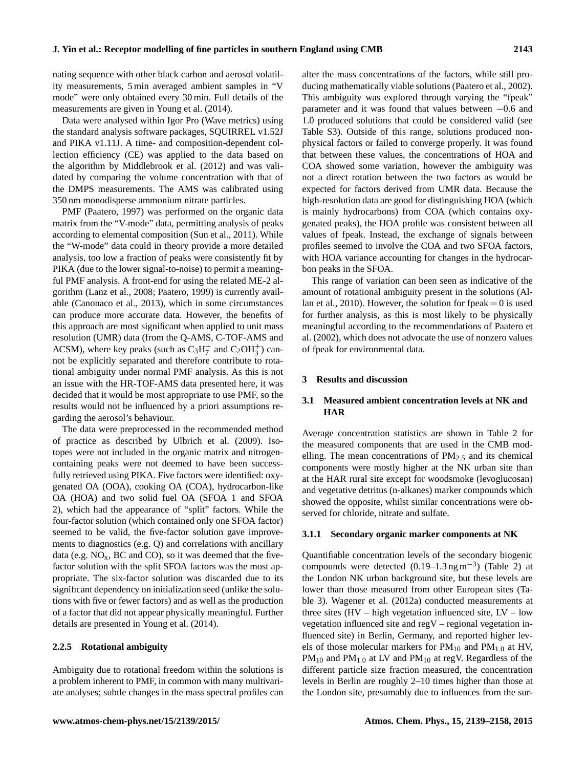nating sequence with other black carbon and aerosol volatility measurements, 5 min averaged ambient samples in "V mode" were only obtained every 30 min. Full details of the measurements are given in Young et al. (2014).

Data were analysed within Igor Pro (Wave metrics) using the standard analysis software packages, SQUIRREL v1.52J and PIKA v1.11J. A time- and composition-dependent collection efficiency (CE) was applied to the data based on the algorithm by Middlebrook et al. (2012) and was validated by comparing the volume concentration with that of the DMPS measurements. The AMS was calibrated using 350 nm monodisperse ammonium nitrate particles.

PMF (Paatero, 1997) was performed on the organic data matrix from the "V-mode" data, permitting analysis of peaks according to elemental composition (Sun et al., 2011). While the "W-mode" data could in theory provide a more detailed analysis, too low a fraction of peaks were consistently fit by PIKA (due to the lower signal-to-noise) to permit a meaningful PMF analysis. A front-end for using the related ME-2 algorithm (Lanz et al., 2008; Paatero, 1999) is currently available (Canonaco et al., 2013), which in some circumstances can produce more accurate data. However, the benefits of this approach are most significant when applied to unit mass resolution (UMR) data (from the Q-AMS, C-TOF-AMS and ACSM), where key peaks (such as  $C_3H_7^+$  $+$  and C<sub>2</sub>OH<sub>3</sub><sup>+</sup>) cannot be explicitly separated and therefore contribute to rotational ambiguity under normal PMF analysis. As this is not an issue with the HR-TOF-AMS data presented here, it was decided that it would be most appropriate to use PMF, so the results would not be influenced by a priori assumptions regarding the aerosol's behaviour.

The data were preprocessed in the recommended method of practice as described by Ulbrich et al. (2009). Isotopes were not included in the organic matrix and nitrogencontaining peaks were not deemed to have been successfully retrieved using PIKA. Five factors were identified: oxygenated OA (OOA), cooking OA (COA), hydrocarbon-like OA (HOA) and two solid fuel OA (SFOA 1 and SFOA 2), which had the appearance of "split" factors. While the four-factor solution (which contained only one SFOA factor) seemed to be valid, the five-factor solution gave improvements to diagnostics (e.g. Q) and correlations with ancillary data (e.g.  $NO<sub>x</sub>$ , BC and CO), so it was deemed that the fivefactor solution with the split SFOA factors was the most appropriate. The six-factor solution was discarded due to its significant dependency on initialization seed (unlike the solutions with five or fewer factors) and as well as the production of a factor that did not appear physically meaningful. Further details are presented in Young et al. (2014).

# **2.2.5 Rotational ambiguity**

Ambiguity due to rotational freedom within the solutions is a problem inherent to PMF, in common with many multivariate analyses; subtle changes in the mass spectral profiles can alter the mass concentrations of the factors, while still producing mathematically viable solutions (Paatero et al., 2002). This ambiguity was explored through varying the "fpeak" parameter and it was found that values between −0.6 and 1.0 produced solutions that could be considered valid (see Table S3). Outside of this range, solutions produced nonphysical factors or failed to converge properly. It was found that between these values, the concentrations of HOA and COA showed some variation, however the ambiguity was not a direct rotation between the two factors as would be expected for factors derived from UMR data. Because the high-resolution data are good for distinguishing HOA (which is mainly hydrocarbons) from COA (which contains oxygenated peaks), the HOA profile was consistent between all values of fpeak. Instead, the exchange of signals between profiles seemed to involve the COA and two SFOA factors, with HOA variance accounting for changes in the hydrocarbon peaks in the SFOA.

This range of variation can been seen as indicative of the amount of rotational ambiguity present in the solutions (Allan et al., 2010). However, the solution for fpeak  $= 0$  is used for further analysis, as this is most likely to be physically meaningful according to the recommendations of Paatero et al. (2002), which does not advocate the use of nonzero values of fpeak for environmental data.

#### **3 Results and discussion**

# **3.1 Measured ambient concentration levels at NK and HAR**

Average concentration statistics are shown in Table 2 for the measured components that are used in the CMB modelling. The mean concentrations of  $PM<sub>2.5</sub>$  and its chemical components were mostly higher at the NK urban site than at the HAR rural site except for woodsmoke (levoglucosan) and vegetative detritus (n-alkanes) marker compounds which showed the opposite, whilst similar concentrations were observed for chloride, nitrate and sulfate.

#### **3.1.1 Secondary organic marker components at NK**

Quantifiable concentration levels of the secondary biogenic compounds were detected  $(0.19-1.3 \text{ ng m}^{-3})$  (Table 2) at the London NK urban background site, but these levels are lower than those measured from other European sites (Table 3). Wagener et al. (2012a) conducted measurements at three sites  $(HV - high vegetation influenced site, LV - low$ vegetation influenced site and regV – regional vegetation influenced site) in Berlin, Germany, and reported higher levels of those molecular markers for  $PM_{10}$  and  $PM_{1.0}$  at HV,  $PM_{10}$  and  $PM_{1,0}$  at LV and  $PM_{10}$  at regV. Regardless of the different particle size fraction measured, the concentration levels in Berlin are roughly 2–10 times higher than those at the London site, presumably due to influences from the sur-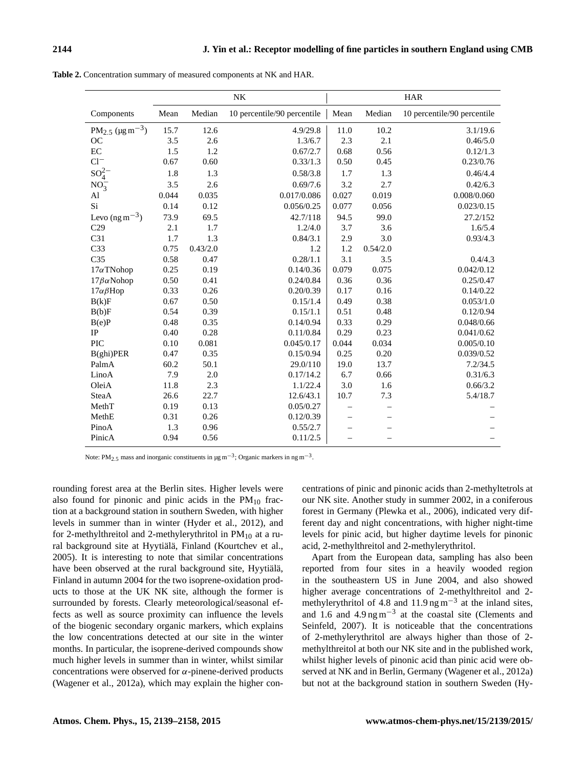|                                  |       |          | $\rm{NK}$                   |       |          | HAR                         |
|----------------------------------|-------|----------|-----------------------------|-------|----------|-----------------------------|
| Components                       | Mean  | Median   | 10 percentile/90 percentile | Mean  | Median   | 10 percentile/90 percentile |
| $PM_{2.5}$ (µg m <sup>-3</sup> ) | 15.7  | 12.6     | 4.9/29.8                    | 11.0  | 10.2     | 3.1/19.6                    |
| <b>OC</b>                        | 3.5   | 2.6      | 1.3/6.7                     | 2.3   | 2.1      | 0.46/5.0                    |
| $\rm EC$                         | 1.5   | 1.2      | 0.67/2.7                    | 0.68  | 0.56     | 0.12/1.3                    |
| $Cl^-$                           | 0.67  | 0.60     | 0.33/1.3                    | 0.50  | 0.45     | 0.23/0.76                   |
| $SO_4^{2-}$                      | 1.8   | 1.3      | 0.58/3.8                    | 1.7   | 1.3      | 0.46/4.4                    |
| $NO_3^-$                         | 3.5   | 2.6      | 0.69/7.6                    | 3.2   | 2.7      | 0.42/6.3                    |
| $\mathbf{Al}$                    | 0.044 | 0.035    | 0.017/0.086                 | 0.027 | 0.019    | 0.008/0.060                 |
| Si                               | 0.14  | 0.12     | 0.056/0.25                  | 0.077 | 0.056    | 0.023/0.15                  |
| Levo $(ng m^{-3})$               | 73.9  | 69.5     | 42.7/118                    | 94.5  | 99.0     | 27.2/152                    |
| C <sub>29</sub>                  | 2.1   | 1.7      | 1.2/4.0                     | 3.7   | 3.6      | 1.6/5.4                     |
| C31                              | 1.7   | 1.3      | 0.84/3.1                    | 2.9   | 3.0      | 0.93/4.3                    |
| C <sub>33</sub>                  | 0.75  | 0.43/2.0 | 1.2                         | 1.2   | 0.54/2.0 |                             |
| C <sub>35</sub>                  | 0.58  | 0.47     | 0.28/1.1                    | 3.1   | 3.5      | 0.4/4.3                     |
| $17\alpha$ TNohop                | 0.25  | 0.19     | 0.14/0.36                   | 0.079 | 0.075    | 0.042/0.12                  |
| $17\beta\alpha$ Nohop            | 0.50  | 0.41     | 0.24/0.84                   | 0.36  | 0.36     | 0.25/0.47                   |
| $17\alpha\beta$ Hop              | 0.33  | 0.26     | 0.20/0.39                   | 0.17  | 0.16     | 0.14/0.22                   |
| B(k)F                            | 0.67  | 0.50     | 0.15/1.4                    | 0.49  | 0.38     | 0.053/1.0                   |
| B(b)F                            | 0.54  | 0.39     | 0.15/1.1                    | 0.51  | 0.48     | 0.12/0.94                   |
| B(e)P                            | 0.48  | 0.35     | 0.14/0.94                   | 0.33  | 0.29     | 0.048/0.66                  |
| IP                               | 0.40  | 0.28     | 0.11/0.84                   | 0.29  | 0.23     | 0.041/0.62                  |
| PIC                              | 0.10  | 0.081    | 0.045/0.17                  | 0.044 | 0.034    | 0.005/0.10                  |
| B(ghi)PER                        | 0.47  | 0.35     | 0.15/0.94                   | 0.25  | 0.20     | 0.039/0.52                  |
| PalmA                            | 60.2  | 50.1     | 29.0/110                    | 19.0  | 13.7     | 7.2/34.5                    |
| LinoA                            | 7.9   | 2.0      | 0.17/14.2                   | 6.7   | 0.66     | 0.31/6.3                    |
| OleiA                            | 11.8  | 2.3      | 1.1/22.4                    | 3.0   | 1.6      | 0.66/3.2                    |
| SteaA                            | 26.6  | 22.7     | 12.6/43.1                   | 10.7  | 7.3      | 5.4/18.7                    |
| MethT                            | 0.19  | 0.13     | 0.05/0.27                   |       |          |                             |
| MethE                            | 0.31  | 0.26     | 0.12/0.39                   |       |          |                             |
| PinoA                            | 1.3   | 0.96     | 0.55/2.7                    |       |          |                             |
| PinicA                           | 0.94  | 0.56     | 0.11/2.5                    |       |          |                             |

**Table 2.** Concentration summary of measured components at NK and HAR.

Note: PM<sub>2.5</sub> mass and inorganic constituents in  $\mu$ g m<sup>-3</sup>; Organic markers in ng m<sup>-3</sup>.

rounding forest area at the Berlin sites. Higher levels were also found for pinonic and pinic acids in the  $PM_{10}$  fraction at a background station in southern Sweden, with higher levels in summer than in winter (Hyder et al., 2012), and for 2-methylthreitol and 2-methylerythritol in  $PM_{10}$  at a rural background site at Hyytiälä, Finland (Kourtchev et al., 2005). It is interesting to note that similar concentrations have been observed at the rural background site, Hyytiälä, Finland in autumn 2004 for the two isoprene-oxidation products to those at the UK NK site, although the former is surrounded by forests. Clearly meteorological/seasonal effects as well as source proximity can influence the levels of the biogenic secondary organic markers, which explains the low concentrations detected at our site in the winter months. In particular, the isoprene-derived compounds show much higher levels in summer than in winter, whilst similar concentrations were observed for  $\alpha$ -pinene-derived products (Wagener et al., 2012a), which may explain the higher concentrations of pinic and pinonic acids than 2-methyltetrols at our NK site. Another study in summer 2002, in a coniferous forest in Germany (Plewka et al., 2006), indicated very different day and night concentrations, with higher night-time levels for pinic acid, but higher daytime levels for pinonic acid, 2-methylthreitol and 2-methylerythritol.

Apart from the European data, sampling has also been reported from four sites in a heavily wooded region in the southeastern US in June 2004, and also showed higher average concentrations of 2-methylthreitol and 2 methylerythritol of 4.8 and 11.9 ng m−<sup>3</sup> at the inland sites, and 1.6 and 4.9 ng m−<sup>3</sup> at the coastal site (Clements and Seinfeld, 2007). It is noticeable that the concentrations of 2-methylerythritol are always higher than those of 2 methylthreitol at both our NK site and in the published work, whilst higher levels of pinonic acid than pinic acid were observed at NK and in Berlin, Germany (Wagener et al., 2012a) but not at the background station in southern Sweden (Hy-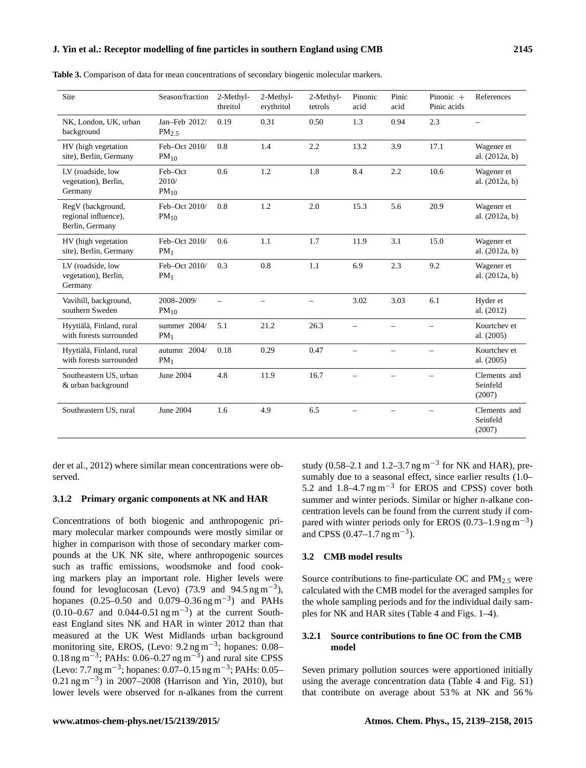# **J. Yin et al.: Receptor modelling of fine particles in southern England using CMB 2145**

**Table 3.** Comparison of data for mean concentrations of secondary biogenic molecular markers.

| Site                                                         | Season/fraction                    | 2-Methyl-<br>threitol | 2-Methyl-<br>erythritol | 2-Methyl-<br>tetrols     | Pinonic<br>acid | Pinic<br>acid | Pinonic $+$<br>Pinic acids | References                         |
|--------------------------------------------------------------|------------------------------------|-----------------------|-------------------------|--------------------------|-----------------|---------------|----------------------------|------------------------------------|
| NK, London, UK, urban<br>background                          | Jan-Feb 2012/<br>PM <sub>2.5</sub> | 0.19                  | 0.31                    | 0.50                     | 1.3             | 0.94          | 2.3                        |                                    |
| HV (high vegetation<br>site), Berlin, Germany                | Feb-Oct 2010/<br>$PM_{10}$         | 0.8                   | 1.4                     | 2.2                      | 13.2            | 3.9           | 17.1                       | Wagener et<br>al. (2012a, b)       |
| LV (roadside, low<br>vegetation), Berlin,<br>Germany         | Feb-Oct<br>2010/<br>$PM_{10}$      | 0.6                   | 1.2                     | 1.8                      | 8.4             | 2.2           | 10.6                       | Wagener et<br>al. $(2012a, b)$     |
| RegV (background,<br>regional influence),<br>Berlin, Germany | Feb-Oct 2010/<br>$PM_{10}$         | 0.8                   | 1.2                     | 2.0                      | 15.3            | 5.6           | 20.9                       | Wagener et<br>al. (2012a, b)       |
| HV (high vegetation<br>site), Berlin, Germany                | Feb-Oct 2010/<br>$PM_1$            | 0.6                   | 1.1                     | 1.7                      | 11.9            | 3.1           | 15.0                       | Wagener et<br>al. $(2012a, b)$     |
| LV (roadside, low<br>vegetation), Berlin,<br>Germany         | Feb-Oct 2010/<br>PM <sub>1</sub>   | 0.3                   | 0.8                     | 1.1                      | 6.9             | 2.3           | 9.2                        | Wagener et<br>al. (2012a, b)       |
| Vavihill, background,<br>southern Sweden                     | 2008-2009/<br>$PM_{10}$            |                       | $\overline{a}$          | $\overline{\phantom{0}}$ | 3.02            | 3.03          | 6.1                        | Hyder et<br>al. (2012)             |
| Hyytiälä, Finland, rural<br>with forests surrounded          | summer 2004/<br>PM <sub>1</sub>    | 5.1                   | 21.2                    | 26.3                     |                 |               |                            | Kourtchev et<br>al. (2005)         |
| Hyytiälä, Finland, rural<br>with forests surrounded          | autumn 2004/<br>PM <sub>1</sub>    | 0.18                  | 0.29                    | 0.47                     |                 |               |                            | Kourtchev et<br>al. (2005)         |
| Southeastern US, urban<br>& urban background                 | June 2004                          | 4.8                   | 11.9                    | 16.7                     |                 |               |                            | Clements and<br>Seinfeld<br>(2007) |
| Southeastern US, rural                                       | June 2004                          | 1.6                   | 4.9                     | 6.5                      |                 |               |                            | Clements and<br>Seinfeld<br>(2007) |

der et al., 2012) where similar mean concentrations were observed.

#### **3.1.2 Primary organic components at NK and HAR**

Concentrations of both biogenic and anthropogenic primary molecular marker compounds were mostly similar or higher in comparison with those of secondary marker compounds at the UK NK site, where anthropogenic sources such as traffic emissions, woodsmoke and food cooking markers play an important role. Higher levels were found for levoglucosan (Levo) (73.9 and  $94.5 \text{ ng m}^{-3}$ ), hopanes  $(0.25-0.50 \text{ and } 0.079-0.36 \text{ ng m}^{-3})$  and PAHs  $(0.10-0.67)$  and  $0.044-0.51$  ng m<sup>-3</sup>) at the current Southeast England sites NK and HAR in winter 2012 than that measured at the UK West Midlands urban background monitoring site, EROS, (Levo: 9.2 ng m<sup>-3</sup>; hopanes: 0.08– 0.18 ng m<sup>-3</sup>; PAHs: 0.06–0.27 ng m<sup>-3</sup>) and rural site CPSS (Levo: 7.7 ng m−<sup>3</sup> ; hopanes: 0.07–0.15 ng m−<sup>3</sup> ; PAHs: 0.05– 0.21 ng m−<sup>3</sup> ) in 2007–2008 (Harrison and Yin, 2010), but lower levels were observed for n-alkanes from the current

study (0.58–2.1 and 1.2–3.7 ng m<sup>-3</sup> for NK and HAR), presumably due to a seasonal effect, since earlier results (1.0– 5.2 and 1.8–4.7 ng m−<sup>3</sup> for EROS and CPSS) cover both summer and winter periods. Similar or higher n-alkane concentration levels can be found from the current study if compared with winter periods only for EROS  $(0.73-1.9 \text{ ng m}^{-3})$ and CPSS  $(0.47-1.7 \text{ ng m}^{-3})$ .

#### **3.2 CMB model results**

Source contributions to fine-particulate OC and  $PM_2$ , were calculated with the CMB model for the averaged samples for the whole sampling periods and for the individual daily samples for NK and HAR sites (Table 4 and Figs. 1–4).

# **3.2.1 Source contributions to fine OC from the CMB model**

Seven primary pollution sources were apportioned initially using the average concentration data (Table 4 and Fig. S1) that contribute on average about 53 % at NK and 56 %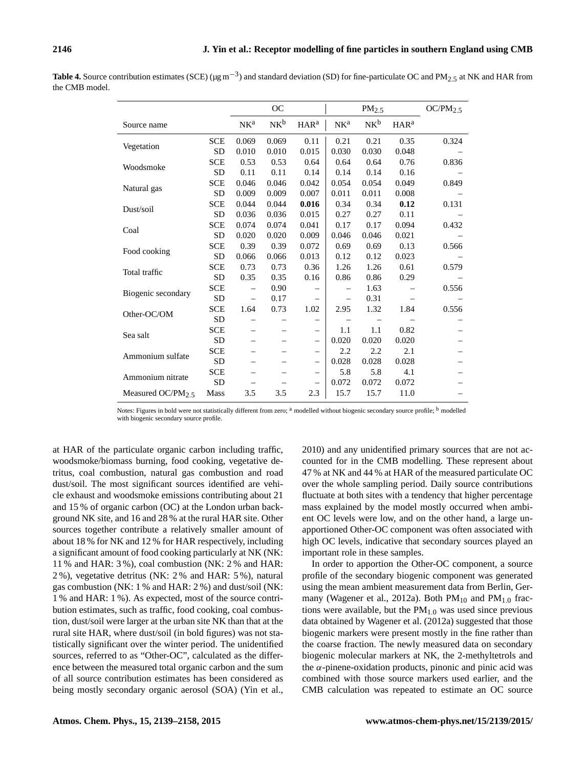| Table 4. Source contribution estimates (SCE) ( $\mu$ g m <sup>-3</sup> ) and standard deviation (SD) for fine-particulate OC and PM <sub>2.5</sub> at NK and HAR from |  |
|-----------------------------------------------------------------------------------------------------------------------------------------------------------------------|--|
| the CMB model.                                                                                                                                                        |  |

|                                     |                    |                 | <b>OC</b>       |                   |                 | PM <sub>2.5</sub> |                  | $OC/PM_{2.5}$ |
|-------------------------------------|--------------------|-----------------|-----------------|-------------------|-----------------|-------------------|------------------|---------------|
| Source name                         |                    | NK <sup>a</sup> | NK <sup>b</sup> | HAR <sup>a</sup>  | NK <sup>a</sup> | NK <sup>b</sup>   | HAR <sup>a</sup> |               |
|                                     | <b>SCE</b>         | 0.069           | 0.069           | 0.11              | 0.21            | 0.21              | 0.35             | 0.324         |
| Vegetation                          | <b>SD</b>          | 0.010           | 0.010           | 0.015             | 0.030           | 0.030             | 0.048            |               |
|                                     | <b>SCE</b>         | 0.53            | 0.53            | 0.64              | 0.64            | 0.64              | 0.76             | 0.836         |
| Woodsmoke                           | <b>SD</b>          | 0.11            | 0.11            | 0.14              | 0.14            | 0.14              | 0.16             |               |
|                                     | <b>SCE</b>         | 0.046           | 0.046           | 0.042             | 0.054           | 0.054             | 0.049            | 0.849         |
| Natural gas                         | <b>SD</b>          | 0.009           | 0.009           | 0.007             | 0.011           | 0.011             | 0.008            |               |
| Dust/soil                           | <b>SCE</b>         | 0.044           | 0.044           | 0.016             | 0.34            | 0.34              | 0.12             | 0.131         |
|                                     | <b>SD</b>          | 0.036           | 0.036           | 0.015             | 0.27            | 0.27              | 0.11             |               |
| Coal                                | <b>SCE</b>         | 0.074           | 0.074           | 0.041             | 0.17            | 0.17              | 0.094            | 0.432         |
|                                     | <b>SD</b>          | 0.020           | 0.020           | 0.009             | 0.046           | 0.046             | 0.021            |               |
| Food cooking                        | <b>SCE</b>         | 0.39            | 0.39            | 0.072             | 0.69            | 0.69              | 0.13             | 0.566         |
|                                     | <b>SD</b>          | 0.066           | 0.066           | 0.013             | 0.12            | 0.12              | 0.023            |               |
| Total traffic                       | <b>SCE</b>         | 0.73            | 0.73            | 0.36              | 1.26            | 1.26              | 0.61             | 0.579         |
|                                     | <b>SD</b>          | 0.35            | 0.35            | 0.16              | 0.86            | 0.86              | 0.29             |               |
| Biogenic secondary                  | <b>SCE</b>         |                 | 0.90            |                   |                 | 1.63              |                  | 0.556         |
|                                     | <b>SD</b>          |                 | 0.17            |                   |                 | 0.31              |                  |               |
| Other-OC/OM                         | <b>SCE</b>         | 1.64            | 0.73            | 1.02              | 2.95            | 1.32              | 1.84             | 0.556         |
|                                     | <b>SD</b>          |                 |                 |                   |                 |                   |                  |               |
| Sea salt                            | SCE                |                 |                 |                   | 1.1             | 1.1               | 0.82             |               |
|                                     | <b>SD</b>          |                 |                 | $\qquad \qquad -$ | 0.020           | 0.020             | 0.020            |               |
| Ammonium sulfate                    | <b>SCE</b>         |                 |                 |                   | 2.2             | 2.2               | 2.1              |               |
|                                     | <b>SD</b>          |                 |                 | $\qquad \qquad -$ | 0.028           | 0.028             | 0.028            |               |
| Ammonium nitrate                    | <b>SCE</b>         |                 |                 |                   | 5.8             | 5.8               | 4.1              |               |
|                                     | <b>SD</b><br>0.072 | 0.072           | 0.072           |                   |                 |                   |                  |               |
| Measured OC/PM <sub>2</sub> $\zeta$ | Mass               | 3.5             | 3.5             | 2.3               | 15.7            | 15.7              | 11.0             |               |

Notes: Figures in bold were not statistically different from zero; <sup>a</sup> modelled without biogenic secondary source profile; <sup>b</sup> modelled with biogenic secondary source profile.

at HAR of the particulate organic carbon including traffic, woodsmoke/biomass burning, food cooking, vegetative detritus, coal combustion, natural gas combustion and road dust/soil. The most significant sources identified are vehicle exhaust and woodsmoke emissions contributing about 21 and 15 % of organic carbon (OC) at the London urban background NK site, and 16 and 28 % at the rural HAR site. Other sources together contribute a relatively smaller amount of about 18 % for NK and 12 % for HAR respectively, including a significant amount of food cooking particularly at NK (NK: 11 % and HAR: 3 %), coal combustion (NK: 2 % and HAR: 2 %), vegetative detritus (NK: 2 % and HAR: 5 %), natural gas combustion (NK: 1 % and HAR: 2 %) and dust/soil (NK: 1 % and HAR: 1 %). As expected, most of the source contribution estimates, such as traffic, food cooking, coal combustion, dust/soil were larger at the urban site NK than that at the rural site HAR, where dust/soil (in bold figures) was not statistically significant over the winter period. The unidentified sources, referred to as "Other-OC", calculated as the difference between the measured total organic carbon and the sum of all source contribution estimates has been considered as being mostly secondary organic aerosol (SOA) (Yin et al., 2010) and any unidentified primary sources that are not accounted for in the CMB modelling. These represent about 47 % at NK and 44 % at HAR of the measured particulate OC over the whole sampling period. Daily source contributions fluctuate at both sites with a tendency that higher percentage mass explained by the model mostly occurred when ambient OC levels were low, and on the other hand, a large unapportioned Other-OC component was often associated with high OC levels, indicative that secondary sources played an important role in these samples.

In order to apportion the Other-OC component, a source profile of the secondary biogenic component was generated using the mean ambient measurement data from Berlin, Germany (Wagener et al., 2012a). Both  $PM_{10}$  and  $PM_{1.0}$  fractions were available, but the  $PM_{1,0}$  was used since previous data obtained by Wagener et al. (2012a) suggested that those biogenic markers were present mostly in the fine rather than the coarse fraction. The newly measured data on secondary biogenic molecular markers at NK, the 2-methyltetrols and the  $\alpha$ -pinene-oxidation products, pinonic and pinic acid was combined with those source markers used earlier, and the CMB calculation was repeated to estimate an OC source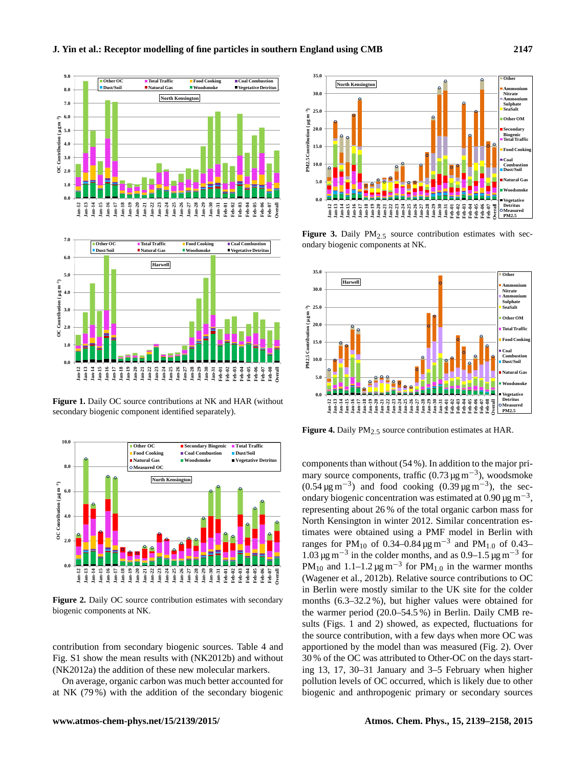



**Figure 1.** Daily OC source contributions at NK and HAR (without secondary biogenic component identified separately).



**Figure 2.** Daily OC source contribution estimates with secondary biogenic components at NK.

contribution from secondary biogenic sources. Table 4 and Fig. S1 show the mean results with (NK2012b) and without (NK2012a) the addition of these new molecular markers.

On average, organic carbon was much better accounted for at NK (79 %) with the addition of the secondary biogenic



**Figure 3.** Daily  $PM_{2.5}$  source contribution estimates with secondary biogenic components at NK.



Figure 4. Daily PM<sub>2.5</sub> source contribution estimates at HAR.

sults (Figs. 1 and 2) showed, as expected, fluctuations for components than without (54 %). In addition to the major primary source components, traffic (0.73 µg m−<sup>3</sup> ), woodsmoke (0.54  $\mu$ g m<sup>-3</sup>) and food cooking (0.39  $\mu$ g m<sup>-3</sup>), the secondary biogenic concentration was estimated at  $0.90 \,\text{\mu g m}^{-3}$ , representing about 26 % of the total organic carbon mass for North Kensington in winter 2012. Similar concentration estimates were obtained using a PMF model in Berlin with ranges for PM<sub>10</sub> of 0.34–0.84  $\mu$ g m<sup>-3</sup> and PM<sub>1.0</sub> of 0.43– 1.03 μg m<sup>-3</sup> in the colder months, and as 0.9–1.5 μg m<sup>-3</sup> for PM<sub>10</sub> and 1.1–1.2 µg m<sup>-3</sup> for PM<sub>1.0</sub> in the warmer months (Wagener et al., 2012b). Relative source contributions to OC in Berlin were mostly similar to the UK site for the colder months (6.3–32.2 %), but higher values were obtained for the warmer period (20.0–54.5 %) in Berlin. Daily CMB rethe source contribution, with a few days when more OC was apportioned by the model than was measured (Fig. 2). Over 30 % of the OC was attributed to Other-OC on the days starting 13, 17, 30–31 January and 3–5 February when higher pollution levels of OC occurred, which is likely due to other biogenic and anthropogenic primary or secondary sources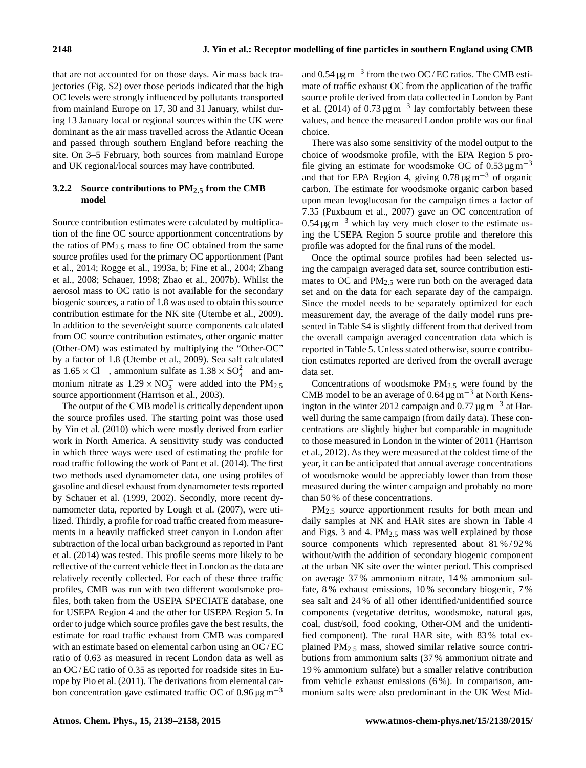that are not accounted for on those days. Air mass back trajectories (Fig. S2) over those periods indicated that the high OC levels were strongly influenced by pollutants transported from mainland Europe on 17, 30 and 31 January, whilst during 13 January local or regional sources within the UK were dominant as the air mass travelled across the Atlantic Ocean and passed through southern England before reaching the site. On 3–5 February, both sources from mainland Europe and UK regional/local sources may have contributed.

# **3.2.2 Source contributions to PM2**.**<sup>5</sup> from the CMB model**

Source contribution estimates were calculated by multiplication of the fine OC source apportionment concentrations by the ratios of  $PM_{2.5}$  mass to fine OC obtained from the same source profiles used for the primary OC apportionment (Pant et al., 2014; Rogge et al., 1993a, b; Fine et al., 2004; Zhang et al., 2008; Schauer, 1998; Zhao et al., 2007b). Whilst the aerosol mass to OC ratio is not available for the secondary biogenic sources, a ratio of 1.8 was used to obtain this source contribution estimate for the NK site (Utembe et al., 2009). In addition to the seven/eight source components calculated from OC source contribution estimates, other organic matter (Other-OM) was estimated by multiplying the "Other-OC" by a factor of 1.8 (Utembe et al., 2009). Sea salt calculated as  $1.65 \times Cl^-$ , ammonium sulfate as  $1.38 \times SO_4^{2-}$  and ammonium nitrate as  $1.29 \times NO_3^-$  were added into the PM<sub>2.5</sub> source apportionment (Harrison et al., 2003).

The output of the CMB model is critically dependent upon the source profiles used. The starting point was those used by Yin et al. (2010) which were mostly derived from earlier work in North America. A sensitivity study was conducted in which three ways were used of estimating the profile for road traffic following the work of Pant et al. (2014). The first two methods used dynamometer data, one using profiles of gasoline and diesel exhaust from dynamometer tests reported by Schauer et al. (1999, 2002). Secondly, more recent dynamometer data, reported by Lough et al. (2007), were utilized. Thirdly, a profile for road traffic created from measurements in a heavily trafficked street canyon in London after subtraction of the local urban background as reported in Pant et al. (2014) was tested. This profile seems more likely to be reflective of the current vehicle fleet in London as the data are relatively recently collected. For each of these three traffic profiles, CMB was run with two different woodsmoke profiles, both taken from the USEPA SPECIATE database, one for USEPA Region 4 and the other for USEPA Region 5. In order to judge which source profiles gave the best results, the estimate for road traffic exhaust from CMB was compared with an estimate based on elemental carbon using an OC / EC ratio of 0.63 as measured in recent London data as well as an OC / EC ratio of 0.35 as reported for roadside sites in Europe by Pio et al. (2011). The derivations from elemental carbon concentration gave estimated traffic OC of  $0.96 \,\text{\mu g m}^{-3}$ 

and 0.54 µg m−<sup>3</sup> from the two OC / EC ratios. The CMB estimate of traffic exhaust OC from the application of the traffic source profile derived from data collected in London by Pant et al. (2014) of 0.73  $\mu$ g m<sup>-3</sup> lay comfortably between these values, and hence the measured London profile was our final choice.

There was also some sensitivity of the model output to the choice of woodsmoke profile, with the EPA Region 5 profile giving an estimate for woodsmoke OC of  $0.53 \mu g m^{-3}$ and that for EPA Region 4, giving 0.78 µg m−<sup>3</sup> of organic carbon. The estimate for woodsmoke organic carbon based upon mean levoglucosan for the campaign times a factor of 7.35 (Puxbaum et al., 2007) gave an OC concentration of  $0.54 \,\mathrm{\mu g\,m}^{-3}$  which lay very much closer to the estimate using the USEPA Region 5 source profile and therefore this profile was adopted for the final runs of the model.

Once the optimal source profiles had been selected using the campaign averaged data set, source contribution estimates to OC and  $PM<sub>2.5</sub>$  were run both on the averaged data set and on the data for each separate day of the campaign. Since the model needs to be separately optimized for each measurement day, the average of the daily model runs presented in Table S4 is slightly different from that derived from the overall campaign averaged concentration data which is reported in Table 5. Unless stated otherwise, source contribution estimates reported are derived from the overall average data set.

Concentrations of woodsmoke  $PM_{2.5}$  were found by the CMB model to be an average of  $0.64 \,\mathrm{\upmu g\,m^{-3}}$  at North Kensington in the winter 2012 campaign and 0.77  $\mu$ g m<sup>-3</sup> at Harwell during the same campaign (from daily data). These concentrations are slightly higher but comparable in magnitude to those measured in London in the winter of 2011 (Harrison et al., 2012). As they were measured at the coldest time of the year, it can be anticipated that annual average concentrations of woodsmoke would be appreciably lower than from those measured during the winter campaign and probably no more than 50 % of these concentrations.

PM<sub>2.5</sub> source apportionment results for both mean and daily samples at NK and HAR sites are shown in Table 4 and Figs. 3 and 4.  $PM<sub>2.5</sub>$  mass was well explained by those source components which represented about 81 % / 92 % without/with the addition of secondary biogenic component at the urban NK site over the winter period. This comprised on average 37 % ammonium nitrate, 14 % ammonium sulfate, 8 % exhaust emissions, 10 % secondary biogenic, 7 % sea salt and 24 % of all other identified/unidentified source components (vegetative detritus, woodsmoke, natural gas, coal, dust/soil, food cooking, Other-OM and the unidentified component). The rural HAR site, with 83 % total explained PM2.<sup>5</sup> mass, showed similar relative source contributions from ammonium salts (37 % ammonium nitrate and 19 % ammonium sulfate) but a smaller relative contribution from vehicle exhaust emissions (6 %). In comparison, ammonium salts were also predominant in the UK West Mid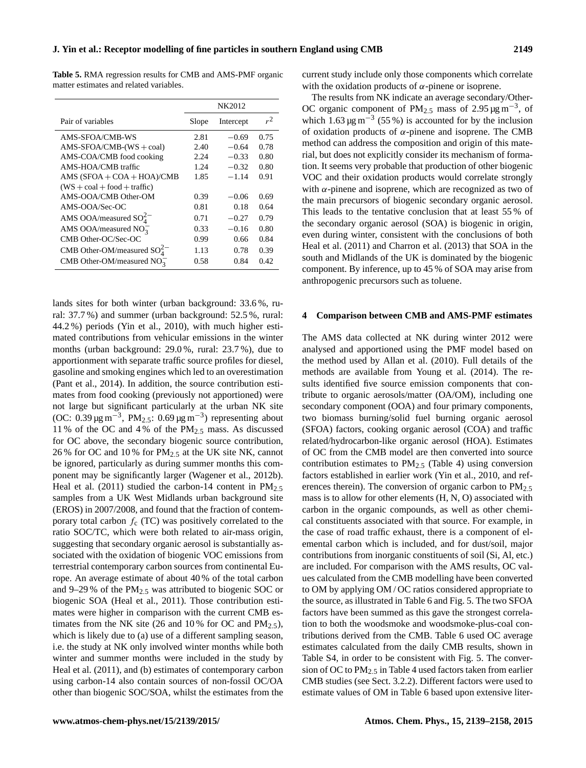**Table 5.** RMA regression results for CMB and AMS-PMF organic matter estimates and related variables.

|                                   |       | NK2012    |       |
|-----------------------------------|-------|-----------|-------|
| Pair of variables                 | Slope | Intercept | $r^2$ |
| AMS-SFOA/CMB-WS                   | 2.81  | $-0.69$   | 0.75  |
| $AMS-SPOA/CMB-(WS + coal)$        | 2.40  | $-0.64$   | 0.78  |
| AMS-COA/CMB food cooking          | 2.24  | $-0.33$   | 0.80  |
| AMS-HOA/CMB traffic               | 1.24  | $-0.32$   | 0.80  |
| AMS $(SFOA + COA + HOA)/CMB$      | 1.85  | $-1.14$   | 0.91  |
| $(WS + coal + food + traffic)$    |       |           |       |
| AMS-OOA/CMB Other-OM              | 0.39  | $-0.06$   | 0.69  |
| AMS-OOA/Sec-OC                    | 0.81  | 0.18      | 0.64  |
| AMS OOA/measured $SO_4^{2-}$      | 0.71  | $-0.27$   | 0.79  |
| AMS OOA/measured $NO_3^-$         | 0.33  | $-0.16$   | 0.80  |
| CMB Other-OC/Sec-OC               | 0.99  | 0.66      | 0.84  |
| CMB Other-OM/measured $SO_4^{2-}$ | 1.13  | 0.78      | 0.39  |
| CMB Other-OM/measured $NO_3^-$    | 0.58  | 0.84      | 0.42  |

lands sites for both winter (urban background: 33.6 %, rural: 37.7 %) and summer (urban background: 52.5 %, rural: 44.2 %) periods (Yin et al., 2010), with much higher estimated contributions from vehicular emissions in the winter months (urban background: 29.0 %, rural: 23.7 %), due to apportionment with separate traffic source profiles for diesel, gasoline and smoking engines which led to an overestimation (Pant et al., 2014). In addition, the source contribution estimates from food cooking (previously not apportioned) were not large but significant particularly at the urban NK site (OC: 0.39  $\mu$ g m<sup>-3</sup>, PM<sub>2.5</sub>: 0.69  $\mu$ g m<sup>-3</sup>) representing about 11 % of the OC and 4 % of the  $PM_{2.5}$  mass. As discussed for OC above, the secondary biogenic source contribution, 26 % for OC and 10 % for  $PM_{2.5}$  at the UK site NK, cannot be ignored, particularly as during summer months this component may be significantly larger (Wagener et al., 2012b). Heal et al. (2011) studied the carbon-14 content in  $PM_{2.5}$ samples from a UK West Midlands urban background site (EROS) in 2007/2008, and found that the fraction of contemporary total carbon  $f_c$  (TC) was positively correlated to the ratio SOC/TC, which were both related to air-mass origin, suggesting that secondary organic aerosol is substantially associated with the oxidation of biogenic VOC emissions from terrestrial contemporary carbon sources from continental Europe. An average estimate of about 40 % of the total carbon and 9–29 % of the  $PM_{2.5}$  was attributed to biogenic SOC or biogenic SOA (Heal et al., 2011). Those contribution estimates were higher in comparison with the current CMB estimates from the NK site (26 and 10% for OC and  $PM_{2,5}$ ), which is likely due to (a) use of a different sampling season, i.e. the study at NK only involved winter months while both winter and summer months were included in the study by Heal et al. (2011), and (b) estimates of contemporary carbon using carbon-14 also contain sources of non-fossil OC/OA other than biogenic SOC/SOA, whilst the estimates from the current study include only those components which correlate with the oxidation products of  $\alpha$ -pinene or isoprene.

The results from NK indicate an average secondary/Other-OC organic component of  $PM_{2.5}$  mass of 2.95  $\mu$ g m<sup>-3</sup>, of which  $1.63 \,\mathrm{\upmu g\,m}^{-3}$  (55 %) is accounted for by the inclusion of oxidation products of  $\alpha$ -pinene and isoprene. The CMB method can address the composition and origin of this material, but does not explicitly consider its mechanism of formation. It seems very probable that production of other biogenic VOC and their oxidation products would correlate strongly with  $\alpha$ -pinene and isoprene, which are recognized as two of the main precursors of biogenic secondary organic aerosol. This leads to the tentative conclusion that at least 55 % of the secondary organic aerosol (SOA) is biogenic in origin, even during winter, consistent with the conclusions of both Heal et al. (2011) and Charron et al. (2013) that SOA in the south and Midlands of the UK is dominated by the biogenic component. By inference, up to 45 % of SOA may arise from anthropogenic precursors such as toluene.

#### **4 Comparison between CMB and AMS-PMF estimates**

The AMS data collected at NK during winter 2012 were analysed and apportioned using the PMF model based on the method used by Allan et al. (2010). Full details of the methods are available from Young et al. (2014). The results identified five source emission components that contribute to organic aerosols/matter (OA/OM), including one secondary component (OOA) and four primary components, two biomass burning/solid fuel burning organic aerosol (SFOA) factors, cooking organic aerosol (COA) and traffic related/hydrocarbon-like organic aerosol (HOA). Estimates of OC from the CMB model are then converted into source contribution estimates to  $PM_{2.5}$  (Table 4) using conversion factors established in earlier work (Yin et al., 2010, and references therein). The conversion of organic carbon to  $PM_{2.5}$ mass is to allow for other elements (H, N, O) associated with carbon in the organic compounds, as well as other chemical constituents associated with that source. For example, in the case of road traffic exhaust, there is a component of elemental carbon which is included, and for dust/soil, major contributions from inorganic constituents of soil (Si, Al, etc.) are included. For comparison with the AMS results, OC values calculated from the CMB modelling have been converted to OM by applying OM / OC ratios considered appropriate to the source, as illustrated in Table 6 and Fig. 5. The two SFOA factors have been summed as this gave the strongest correlation to both the woodsmoke and woodsmoke-plus-coal contributions derived from the CMB. Table 6 used OC average estimates calculated from the daily CMB results, shown in Table S4, in order to be consistent with Fig. 5. The conversion of OC to PM2.<sup>5</sup> in Table 4 used factors taken from earlier CMB studies (see Sect. 3.2.2). Different factors were used to estimate values of OM in Table 6 based upon extensive liter-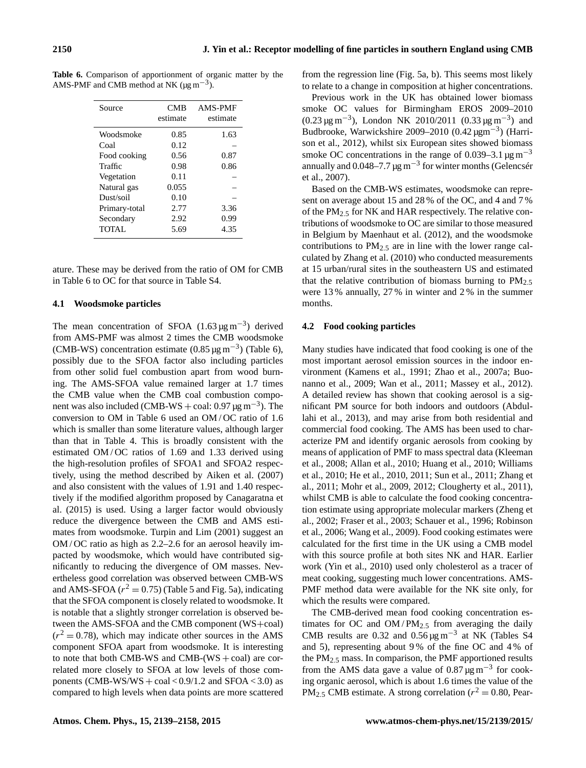**Table 6.** Comparison of apportionment of organic matter by the AMS-PMF and CMB method at NK ( $\mu$ g m<sup>-3</sup>).

| Source        | CMB<br>estimate | <b>AMS-PMF</b><br>estimate |
|---------------|-----------------|----------------------------|
| Woodsmoke     | 0.85            | 1.63                       |
| Coal          | 0.12            |                            |
| Food cooking  | 0.56            | 0.87                       |
| Traffic       | 0.98            | 0.86                       |
| Vegetation    | 0.11            |                            |
| Natural gas   | 0.055           |                            |
| Dust/soil     | 0.10            |                            |
| Primary-total | 2.77            | 3.36                       |
| Secondary     | 2.92            | 0.99                       |
| TOTAL         | 5.69            | 4.35                       |

ature. These may be derived from the ratio of OM for CMB in Table 6 to OC for that source in Table S4.

#### **4.1 Woodsmoke particles**

The mean concentration of SFOA  $(1.63 \,\mu g \,\text{m}^{-3})$  derived from AMS-PMF was almost 2 times the CMB woodsmoke (CMB-WS) concentration estimate  $(0.85 \,\mu g \,\text{m}^{-3})$  (Table 6), possibly due to the SFOA factor also including particles from other solid fuel combustion apart from wood burning. The AMS-SFOA value remained larger at 1.7 times the CMB value when the CMB coal combustion component was also included (CMB-WS + coal:  $0.97 \,\mathrm{\mu g\,m}^{-3}$ ). The conversion to OM in Table 6 used an OM / OC ratio of 1.6 which is smaller than some literature values, although larger than that in Table 4. This is broadly consistent with the estimated OM/OC ratios of 1.69 and 1.33 derived using the high-resolution profiles of SFOA1 and SFOA2 respectively, using the method described by Aiken et al. (2007) and also consistent with the values of 1.91 and 1.40 respectively if the modified algorithm proposed by Canagaratna et al. (2015) is used. Using a larger factor would obviously reduce the divergence between the CMB and AMS estimates from woodsmoke. Turpin and Lim (2001) suggest an OM / OC ratio as high as 2.2–2.6 for an aerosol heavily impacted by woodsmoke, which would have contributed significantly to reducing the divergence of OM masses. Nevertheless good correlation was observed between CMB-WS and AMS-SFOA ( $r^2 = 0.75$ ) (Table 5 and Fig. 5a), indicating that the SFOA component is closely related to woodsmoke. It is notable that a slightly stronger correlation is observed between the AMS-SFOA and the CMB component (WS+coal)  $(r^2 = 0.78)$ , which may indicate other sources in the AMS component SFOA apart from woodsmoke. It is interesting to note that both CMB-WS and CMB- $(WS + coal)$  are correlated more closely to SFOA at low levels of those components (CMB-WS/WS + coal <  $0.9/1.2$  and SFOA <  $3.0$ ) as compared to high levels when data points are more scattered from the regression line (Fig. 5a, b). This seems most likely to relate to a change in composition at higher concentrations.

Previous work in the UK has obtained lower biomass smoke OC values for Birmingham EROS 2009–2010  $(0.23 \,\text{µg m}^{-3})$ , London NK 2010/2011  $(0.33 \,\text{µg m}^{-3})$  and Budbrooke, Warwickshire 2009–2010 (0.42 µgm−<sup>3</sup> ) (Harrison et al., 2012), whilst six European sites showed biomass smoke OC concentrations in the range of 0.039–3.1  $\mu$ g m<sup>-3</sup> annually and  $0.048-7.7 \,\text{\mu g m}^{-3}$  for winter months (Gelencsér et al., 2007).

Based on the CMB-WS estimates, woodsmoke can represent on average about 15 and 28 % of the OC, and 4 and 7 % of the  $PM_{2.5}$  for NK and HAR respectively. The relative contributions of woodsmoke to OC are similar to those measured in Belgium by Maenhaut et al. (2012), and the woodsmoke contributions to  $PM_{2.5}$  are in line with the lower range calculated by Zhang et al. (2010) who conducted measurements at 15 urban/rural sites in the southeastern US and estimated that the relative contribution of biomass burning to  $PM<sub>2.5</sub>$ were 13 % annually, 27 % in winter and 2 % in the summer months.

# **4.2 Food cooking particles**

Many studies have indicated that food cooking is one of the most important aerosol emission sources in the indoor environment (Kamens et al., 1991; Zhao et al., 2007a; Buonanno et al., 2009; Wan et al., 2011; Massey et al., 2012). A detailed review has shown that cooking aerosol is a significant PM source for both indoors and outdoors (Abdullahi et al., 2013), and may arise from both residential and commercial food cooking. The AMS has been used to characterize PM and identify organic aerosols from cooking by means of application of PMF to mass spectral data (Kleeman et al., 2008; Allan et al., 2010; Huang et al., 2010; Williams et al., 2010; He et al., 2010, 2011; Sun et al., 2011; Zhang et al., 2011; Mohr et al., 2009, 2012; Clougherty et al., 2011), whilst CMB is able to calculate the food cooking concentration estimate using appropriate molecular markers (Zheng et al., 2002; Fraser et al., 2003; Schauer et al., 1996; Robinson et al., 2006; Wang et al., 2009). Food cooking estimates were calculated for the first time in the UK using a CMB model with this source profile at both sites NK and HAR. Earlier work (Yin et al., 2010) used only cholesterol as a tracer of meat cooking, suggesting much lower concentrations. AMS-PMF method data were available for the NK site only, for which the results were compared.

The CMB-derived mean food cooking concentration estimates for OC and  $OM/PM_2$ , from averaging the daily CMB results are 0.32 and  $0.56 \,\text{µg m}^{-3}$  at NK (Tables S4 and 5), representing about 9 % of the fine OC and 4 % of the  $PM_{2.5}$  mass. In comparison, the PMF apportioned results from the AMS data gave a value of  $0.87 \mu g m^{-3}$  for cooking organic aerosol, which is about 1.6 times the value of the PM<sub>2.5</sub> CMB estimate. A strong correlation ( $r^2 = 0.80$ , Pear-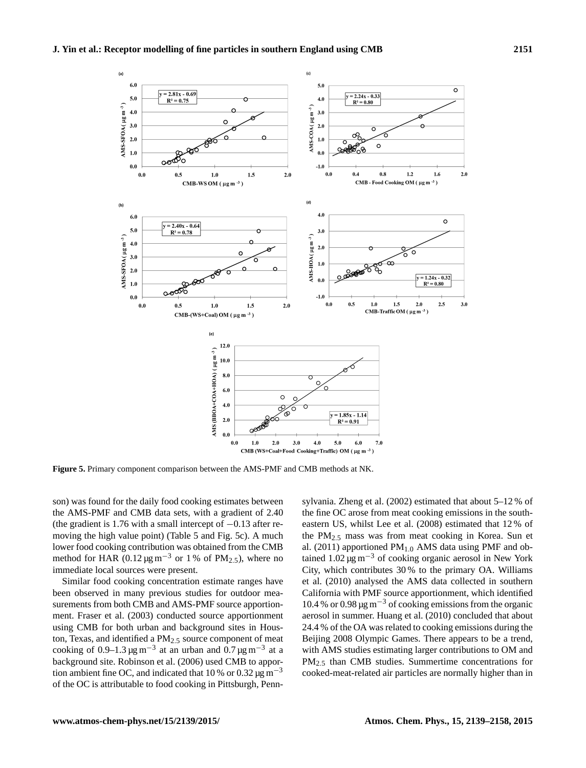

**Figure 5.** Primary component comparison between the AMS-PMF and CMB methods at NK.

son) was found for the daily food cooking estimates between the AMS-PMF and CMB data sets, with a gradient of 2.40 (the gradient is 1.76 with a small intercept of  $-0.13$  after removing the high value point) (Table 5 and Fig. 5c). A much lower food cooking contribution was obtained from the CMB method for HAR (0.12  $\mu$ g m<sup>-3</sup> or 1% of PM<sub>2.5</sub>), where no immediate local sources were present.

Similar food cooking concentration estimate ranges have been observed in many previous studies for outdoor measurements from both CMB and AMS-PMF source apportionment. Fraser et al. (2003) conducted source apportionment using CMB for both urban and background sites in Houston, Texas, and identified a  $PM<sub>2.5</sub>$  source component of meat cooking of 0.9–1.3  $\mu$ g m<sup>-3</sup> at an urban and 0.7  $\mu$ g m<sup>-3</sup> at a background site. Robinson et al. (2006) used CMB to apportion ambient fine OC, and indicated that 10 % or 0.32  $\mu$ g m<sup>-3</sup> of the OC is attributable to food cooking in Pittsburgh, Pennsylvania. Zheng et al. (2002) estimated that about 5–12 % of the fine OC arose from meat cooking emissions in the southeastern US, whilst Lee et al. (2008) estimated that 12 % of the PM<sub>2.5</sub> mass was from meat cooking in Korea. Sun et al. (2011) apportioned  $PM<sub>1.0</sub>$  AMS data using PMF and obtained  $1.02 \,\mathrm{\mu g\,m}^{-3}$  of cooking organic aerosol in New York City, which contributes 30 % to the primary OA. Williams et al. (2010) analysed the AMS data collected in southern California with PMF source apportionment, which identified 10.4 % or 0.98 µg m−<sup>3</sup> of cooking emissions from the organic aerosol in summer. Huang et al. (2010) concluded that about 24.4 % of the OA was related to cooking emissions during the Beijing 2008 Olympic Games. There appears to be a trend, with AMS studies estimating larger contributions to OM and PM<sub>2.5</sub> than CMB studies. Summertime concentrations for cooked-meat-related air particles are normally higher than in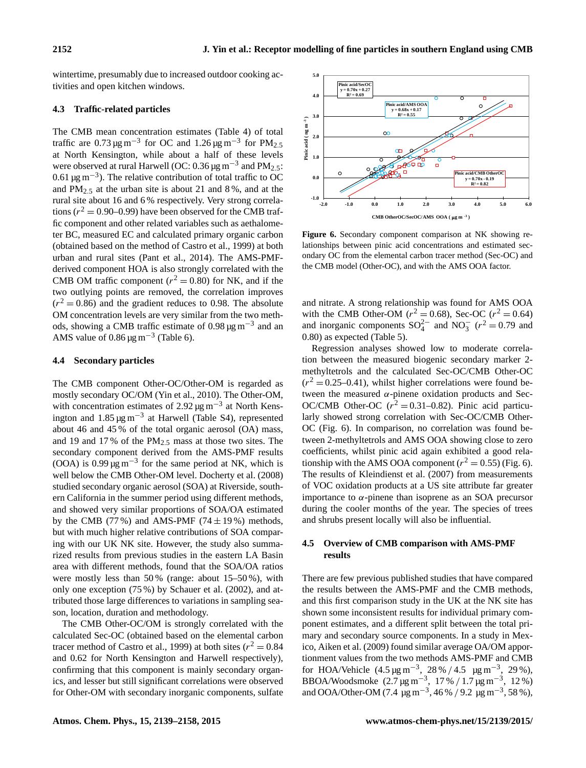wintertime, presumably due to increased outdoor cooking activities and open kitchen windows.

# **4.3 Traffic-related particles**

The CMB mean concentration estimates (Table 4) of total traffic are  $0.73 \,\mathrm{\upmu g\,m}^{-3}$  for OC and  $1.26 \,\mathrm{\upmu g\,m}^{-3}$  for PM<sub>2.5</sub> at North Kensington, while about a half of these levels were observed at rural Harwell (OC:  $0.36 \,\text{\mu g\,m}^{-3}$  and PM<sub>2.5</sub>: 0.61  $\mu$ g m<sup>-3</sup>). The relative contribution of total traffic to OC and  $PM_{2.5}$  at the urban site is about 21 and 8%, and at the rural site about 16 and 6 % respectively. Very strong correlations ( $r^2 = 0.90{\text -}0.99$ ) have been observed for the CMB traffic component and other related variables such as aethalometer BC, measured EC and calculated primary organic carbon (obtained based on the method of Castro et al., 1999) at both urban and rural sites (Pant et al., 2014). The AMS-PMFderived component HOA is also strongly correlated with the CMB OM traffic component ( $r^2 = 0.80$ ) for NK, and if the two outlying points are removed, the correlation improves  $(r^2 = 0.86)$  and the gradient reduces to 0.98. The absolute OM concentration levels are very similar from the two methods, showing a CMB traffic estimate of  $0.98 \,\mathrm{\mu g\,m}^{-3}$  and an AMS value of  $0.86 \,\mathrm{\mu g\,m}^{-3}$  (Table 6).

# **4.4 Secondary particles**

The CMB component Other-OC/Other-OM is regarded as mostly secondary OC/OM (Yin et al., 2010). The Other-OM, with concentration estimates of  $2.92 \,\text{\mu g m}^{-3}$  at North Kensington and  $1.85 \,\mathrm{\upmu g\,m}^{-3}$  at Harwell (Table S4), represented about 46 and 45 % of the total organic aerosol (OA) mass, and 19 and 17% of the  $PM<sub>2.5</sub>$  mass at those two sites. The secondary component derived from the AMS-PMF results (OOA) is  $0.99 \mu g m^{-3}$  for the same period at NK, which is well below the CMB Other-OM level. Docherty et al. (2008) studied secondary organic aerosol (SOA) at Riverside, southern California in the summer period using different methods, and showed very similar proportions of SOA/OA estimated by the CMB (77%) and AMS-PMF (74 $\pm$ 19%) methods, but with much higher relative contributions of SOA comparing with our UK NK site. However, the study also summarized results from previous studies in the eastern LA Basin area with different methods, found that the SOA/OA ratios were mostly less than 50 % (range: about 15–50 %), with only one exception (75 %) by Schauer et al. (2002), and attributed those large differences to variations in sampling season, location, duration and methodology.

The CMB Other-OC/OM is strongly correlated with the calculated Sec-OC (obtained based on the elemental carbon tracer method of Castro et al., 1999) at both sites ( $r^2 = 0.84$ and 0.62 for North Kensington and Harwell respectively), confirming that this component is mainly secondary organics, and lesser but still significant correlations were observed for Other-OM with secondary inorganic components, sulfate



**Figure 6.** Secondary component comparison at NK showing relationships between pinic acid concentrations and estimated secondary OC from the elemental carbon tracer method (Sec-OC) and the CMB model (Other-OC), and with the AMS OOA factor.

and nitrate. A strong relationship was found for AMS OOA with the CMB Other-OM ( $r^2 = 0.68$ ), Sec-OC ( $r^2 = 0.64$ ) and inorganic components  $SO_4^{2-}$  and  $NO_3^{-}$  ( $r^2 = 0.79$  and 0.80) as expected (Table 5).

tween 2-methyltetrols and AMS OOA showing close to zero Regression analyses showed low to moderate correlation between the measured biogenic secondary marker 2 methyltetrols and the calculated Sec-OC/CMB Other-OC  $(r^2 = 0.25 - 0.41)$ , whilst higher correlations were found between the measured  $\alpha$ -pinene oxidation products and Sec-OC/CMB Other-OC  $(r^2 = 0.31 - 0.82)$ . Pinic acid particularly showed strong correlation with Sec-OC/CMB Other-OC (Fig. 6). In comparison, no correlation was found becoefficients, whilst pinic acid again exhibited a good relationship with the AMS OOA component ( $r^2 = 0.55$ ) (Fig. 6). The results of Kleindienst et al. (2007) from measurements of VOC oxidation products at a US site attribute far greater importance to α-pinene than isoprene as an SOA precursor during the cooler months of the year. The species of trees and shrubs present locally will also be influential.

# **4.5 Overview of CMB comparison with AMS-PMF results**

There are few previous published studies that have compared the results between the AMS-PMF and the CMB methods, and this first comparison study in the UK at the NK site has shown some inconsistent results for individual primary component estimates, and a different split between the total primary and secondary source components. In a study in Mexico, Aiken et al. (2009) found similar average OA/OM apportionment values from the two methods AMS-PMF and CMB for HOA/Vehicle  $(4.5 \,\text{µg m}^{-3}, 28\% / 4.5 \text{ µg m}^{-3}, 29\% )$ , BBOA/Woodsmoke  $(2.7 \,\text{µg m}^{-3}, 17\% / 1.7 \,\text{µg m}^{-3}, 12\%)$ and OOA/Other-OM (7.4 µg m<sup>-3</sup>, 46 % / 9.2 µg m<sup>-3</sup>, 58 %),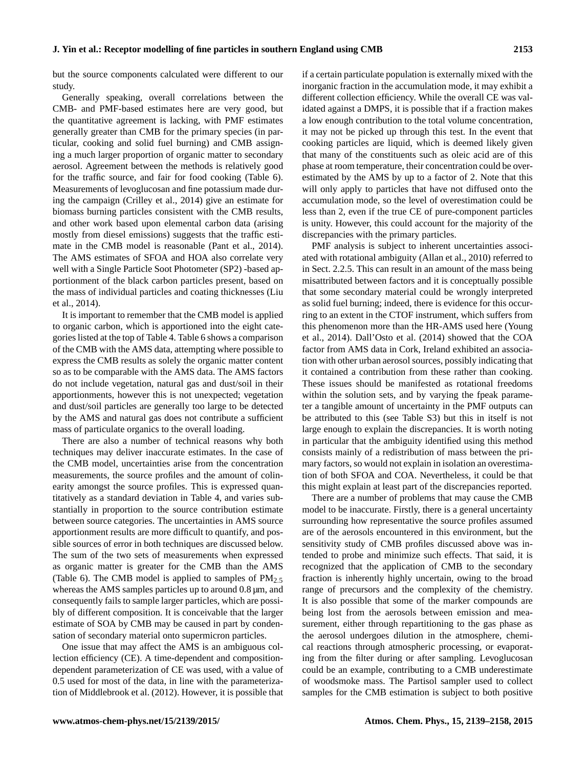but the source components calculated were different to our study.

Generally speaking, overall correlations between the CMB- and PMF-based estimates here are very good, but the quantitative agreement is lacking, with PMF estimates generally greater than CMB for the primary species (in particular, cooking and solid fuel burning) and CMB assigning a much larger proportion of organic matter to secondary aerosol. Agreement between the methods is relatively good for the traffic source, and fair for food cooking (Table 6). Measurements of levoglucosan and fine potassium made during the campaign (Crilley et al., 2014) give an estimate for biomass burning particles consistent with the CMB results, and other work based upon elemental carbon data (arising mostly from diesel emissions) suggests that the traffic estimate in the CMB model is reasonable (Pant et al., 2014). The AMS estimates of SFOA and HOA also correlate very well with a Single Particle Soot Photometer (SP2) -based apportionment of the black carbon particles present, based on the mass of individual particles and coating thicknesses (Liu et al., 2014).

It is important to remember that the CMB model is applied to organic carbon, which is apportioned into the eight categories listed at the top of Table 4. Table 6 shows a comparison of the CMB with the AMS data, attempting where possible to express the CMB results as solely the organic matter content so as to be comparable with the AMS data. The AMS factors do not include vegetation, natural gas and dust/soil in their apportionments, however this is not unexpected; vegetation and dust/soil particles are generally too large to be detected by the AMS and natural gas does not contribute a sufficient mass of particulate organics to the overall loading.

There are also a number of technical reasons why both techniques may deliver inaccurate estimates. In the case of the CMB model, uncertainties arise from the concentration measurements, the source profiles and the amount of colinearity amongst the source profiles. This is expressed quantitatively as a standard deviation in Table 4, and varies substantially in proportion to the source contribution estimate between source categories. The uncertainties in AMS source apportionment results are more difficult to quantify, and possible sources of error in both techniques are discussed below. The sum of the two sets of measurements when expressed as organic matter is greater for the CMB than the AMS (Table 6). The CMB model is applied to samples of  $PM_{2.5}$ whereas the AMS samples particles up to around 0.8  $\mu$ m, and consequently fails to sample larger particles, which are possibly of different composition. It is conceivable that the larger estimate of SOA by CMB may be caused in part by condensation of secondary material onto supermicron particles.

One issue that may affect the AMS is an ambiguous collection efficiency (CE). A time-dependent and compositiondependent parameterization of CE was used, with a value of 0.5 used for most of the data, in line with the parameterization of Middlebrook et al. (2012). However, it is possible that

if a certain particulate population is externally mixed with the inorganic fraction in the accumulation mode, it may exhibit a different collection efficiency. While the overall CE was validated against a DMPS, it is possible that if a fraction makes a low enough contribution to the total volume concentration, it may not be picked up through this test. In the event that cooking particles are liquid, which is deemed likely given that many of the constituents such as oleic acid are of this phase at room temperature, their concentration could be overestimated by the AMS by up to a factor of 2. Note that this will only apply to particles that have not diffused onto the accumulation mode, so the level of overestimation could be less than 2, even if the true CE of pure-component particles is unity. However, this could account for the majority of the discrepancies with the primary particles.

PMF analysis is subject to inherent uncertainties associated with rotational ambiguity (Allan et al., 2010) referred to in Sect. 2.2.5. This can result in an amount of the mass being misattributed between factors and it is conceptually possible that some secondary material could be wrongly interpreted as solid fuel burning; indeed, there is evidence for this occurring to an extent in the CTOF instrument, which suffers from this phenomenon more than the HR-AMS used here (Young et al., 2014). Dall'Osto et al. (2014) showed that the COA factor from AMS data in Cork, Ireland exhibited an association with other urban aerosol sources, possibly indicating that it contained a contribution from these rather than cooking. These issues should be manifested as rotational freedoms within the solution sets, and by varying the fpeak parameter a tangible amount of uncertainty in the PMF outputs can be attributed to this (see Table S3) but this in itself is not large enough to explain the discrepancies. It is worth noting in particular that the ambiguity identified using this method consists mainly of a redistribution of mass between the primary factors, so would not explain in isolation an overestimation of both SFOA and COA. Nevertheless, it could be that this might explain at least part of the discrepancies reported.

There are a number of problems that may cause the CMB model to be inaccurate. Firstly, there is a general uncertainty surrounding how representative the source profiles assumed are of the aerosols encountered in this environment, but the sensitivity study of CMB profiles discussed above was intended to probe and minimize such effects. That said, it is recognized that the application of CMB to the secondary fraction is inherently highly uncertain, owing to the broad range of precursors and the complexity of the chemistry. It is also possible that some of the marker compounds are being lost from the aerosols between emission and measurement, either through repartitioning to the gas phase as the aerosol undergoes dilution in the atmosphere, chemical reactions through atmospheric processing, or evaporating from the filter during or after sampling. Levoglucosan could be an example, contributing to a CMB underestimate of woodsmoke mass. The Partisol sampler used to collect samples for the CMB estimation is subject to both positive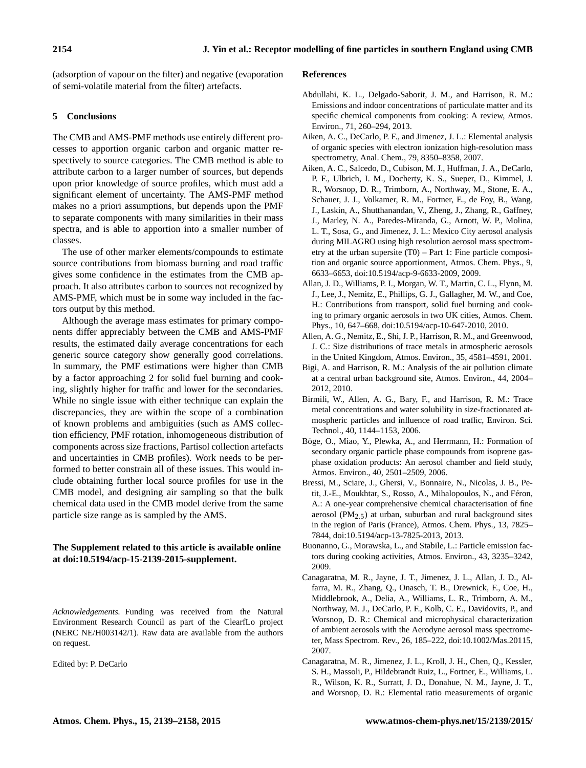(adsorption of vapour on the filter) and negative (evaporation of semi-volatile material from the filter) artefacts.

# **5 Conclusions**

The CMB and AMS-PMF methods use entirely different processes to apportion organic carbon and organic matter respectively to source categories. The CMB method is able to attribute carbon to a larger number of sources, but depends upon prior knowledge of source profiles, which must add a significant element of uncertainty. The AMS-PMF method makes no a priori assumptions, but depends upon the PMF to separate components with many similarities in their mass spectra, and is able to apportion into a smaller number of classes.

The use of other marker elements/compounds to estimate source contributions from biomass burning and road traffic gives some confidence in the estimates from the CMB approach. It also attributes carbon to sources not recognized by AMS-PMF, which must be in some way included in the factors output by this method.

Although the average mass estimates for primary components differ appreciably between the CMB and AMS-PMF results, the estimated daily average concentrations for each generic source category show generally good correlations. In summary, the PMF estimations were higher than CMB by a factor approaching 2 for solid fuel burning and cooking, slightly higher for traffic and lower for the secondaries. While no single issue with either technique can explain the discrepancies, they are within the scope of a combination of known problems and ambiguities (such as AMS collection efficiency, PMF rotation, inhomogeneous distribution of components across size fractions, Partisol collection artefacts and uncertainties in CMB profiles). Work needs to be performed to better constrain all of these issues. This would include obtaining further local source profiles for use in the CMB model, and designing air sampling so that the bulk chemical data used in the CMB model derive from the same particle size range as is sampled by the AMS.

# **The Supplement related to this article is available online at [doi:10.5194/acp-15-2139-2015-supplement.](http://dx.doi.org/10.5194/acp-15-2139-2015-supplement)**

*Acknowledgements.* Funding was received from the Natural Environment Research Council as part of the ClearfLo project (NERC NE/H003142/1). Raw data are available from the authors on request.

Edited by: P. DeCarlo

#### **References**

- Abdullahi, K. L., Delgado-Saborit, J. M., and Harrison, R. M.: Emissions and indoor concentrations of particulate matter and its specific chemical components from cooking: A review, Atmos. Environ., 71, 260–294, 2013.
- Aiken, A. C., DeCarlo, P. F., and Jimenez, J. L.: Elemental analysis of organic species with electron ionization high-resolution mass spectrometry, Anal. Chem., 79, 8350–8358, 2007.
- Aiken, A. C., Salcedo, D., Cubison, M. J., Huffman, J. A., DeCarlo, P. F., Ulbrich, I. M., Docherty, K. S., Sueper, D., Kimmel, J. R., Worsnop, D. R., Trimborn, A., Northway, M., Stone, E. A., Schauer, J. J., Volkamer, R. M., Fortner, E., de Foy, B., Wang, J., Laskin, A., Shutthanandan, V., Zheng, J., Zhang, R., Gaffney, J., Marley, N. A., Paredes-Miranda, G., Arnott, W. P., Molina, L. T., Sosa, G., and Jimenez, J. L.: Mexico City aerosol analysis during MILAGRO using high resolution aerosol mass spectrometry at the urban supersite (T0) – Part 1: Fine particle composition and organic source apportionment, Atmos. Chem. Phys., 9, 6633–6653, doi[:10.5194/acp-9-6633-2009,](http://dx.doi.org/10.5194/acp-9-6633-2009) 2009.
- Allan, J. D., Williams, P. I., Morgan, W. T., Martin, C. L., Flynn, M. J., Lee, J., Nemitz, E., Phillips, G. J., Gallagher, M. W., and Coe, H.: Contributions from transport, solid fuel burning and cooking to primary organic aerosols in two UK cities, Atmos. Chem. Phys., 10, 647–668, doi[:10.5194/acp-10-647-2010,](http://dx.doi.org/10.5194/acp-10-647-2010) 2010.
- Allen, A. G., Nemitz, E., Shi, J. P., Harrison, R. M., and Greenwood, J. C.: Size distributions of trace metals in atmospheric aerosols in the United Kingdom, Atmos. Environ., 35, 4581–4591, 2001.
- Bigi, A. and Harrison, R. M.: Analysis of the air pollution climate at a central urban background site, Atmos. Environ., 44, 2004– 2012, 2010.
- Birmili, W., Allen, A. G., Bary, F., and Harrison, R. M.: Trace metal concentrations and water solubility in size-fractionated atmospheric particles and influence of road traffic, Environ. Sci. Technol., 40, 1144–1153, 2006.
- Böge, O., Miao, Y., Plewka, A., and Herrmann, H.: Formation of secondary organic particle phase compounds from isoprene gasphase oxidation products: An aerosol chamber and field study, Atmos. Environ., 40, 2501–2509, 2006.
- Bressi, M., Sciare, J., Ghersi, V., Bonnaire, N., Nicolas, J. B., Petit, J.-E., Moukhtar, S., Rosso, A., Mihalopoulos, N., and Féron, A.: A one-year comprehensive chemical characterisation of fine aerosol ( $PM_{2.5}$ ) at urban, suburban and rural background sites in the region of Paris (France), Atmos. Chem. Phys., 13, 7825– 7844, doi[:10.5194/acp-13-7825-2013,](http://dx.doi.org/10.5194/acp-13-7825-2013) 2013.
- Buonanno, G., Morawska, L., and Stabile, L.: Particle emission factors during cooking activities, Atmos. Environ., 43, 3235–3242, 2009.
- Canagaratna, M. R., Jayne, J. T., Jimenez, J. L., Allan, J. D., Alfarra, M. R., Zhang, Q., Onasch, T. B., Drewnick, F., Coe, H., Middlebrook, A., Delia, A., Williams, L. R., Trimborn, A. M., Northway, M. J., DeCarlo, P. F., Kolb, C. E., Davidovits, P., and Worsnop, D. R.: Chemical and microphysical characterization of ambient aerosols with the Aerodyne aerosol mass spectrometer, Mass Spectrom. Rev., 26, 185–222, doi[:10.1002/Mas.20115,](http://dx.doi.org/10.1002/Mas.20115) 2007.
- Canagaratna, M. R., Jimenez, J. L., Kroll, J. H., Chen, Q., Kessler, S. H., Massoli, P., Hildebrandt Ruiz, L., Fortner, E., Williams, L. R., Wilson, K. R., Surratt, J. D., Donahue, N. M., Jayne, J. T., and Worsnop, D. R.: Elemental ratio measurements of organic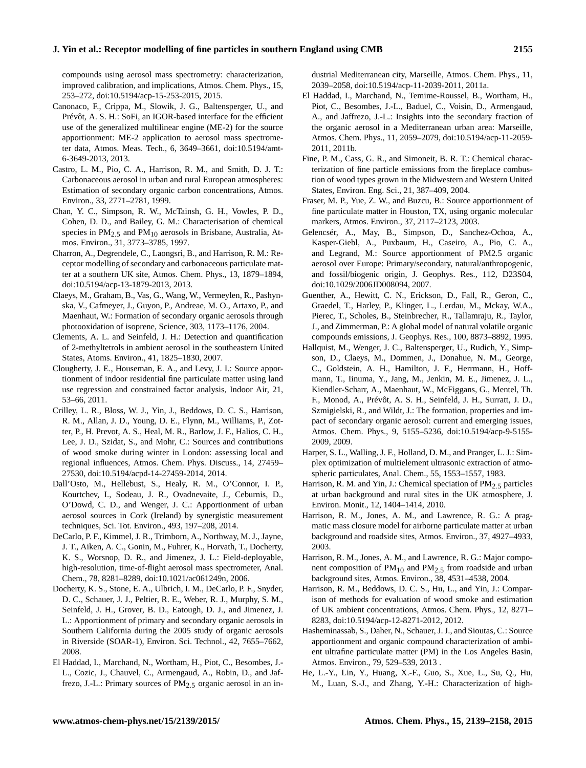compounds using aerosol mass spectrometry: characterization, improved calibration, and implications, Atmos. Chem. Phys., 15, 253–272, doi[:10.5194/acp-15-253-2015,](http://dx.doi.org/10.5194/acp-15-253-2015) 2015.

- Canonaco, F., Crippa, M., Slowik, J. G., Baltensperger, U., and Prévôt, A. S. H.: SoFi, an IGOR-based interface for the efficient use of the generalized multilinear engine (ME-2) for the source apportionment: ME-2 application to aerosol mass spectrometer data, Atmos. Meas. Tech., 6, 3649–3661, doi[:10.5194/amt-](http://dx.doi.org/10.5194/amt-6-3649-2013)[6-3649-2013,](http://dx.doi.org/10.5194/amt-6-3649-2013) 2013.
- Castro, L. M., Pio, C. A., Harrison, R. M., and Smith, D. J. T.: Carbonaceous aerosol in urban and rural European atmospheres: Estimation of secondary organic carbon concentrations, Atmos. Environ., 33, 2771–2781, 1999.
- Chan, Y. C., Simpson, R. W., McTainsh, G. H., Vowles, P. D., Cohen, D. D., and Bailey, G. M.: Characterisation of chemical species in  $PM_{2.5}$  and  $PM_{10}$  aerosols in Brisbane, Australia, Atmos. Environ., 31, 3773–3785, 1997.
- Charron, A., Degrendele, C., Laongsri, B., and Harrison, R. M.: Receptor modelling of secondary and carbonaceous particulate matter at a southern UK site, Atmos. Chem. Phys., 13, 1879–1894, doi[:10.5194/acp-13-1879-2013,](http://dx.doi.org/10.5194/acp-13-1879-2013) 2013.
- Claeys, M., Graham, B., Vas, G., Wang, W., Vermeylen, R., Pashynska, V., Cafmeyer, J., Guyon, P., Andreae, M. O., Artaxo, P., and Maenhaut, W.: Formation of secondary organic aerosols through photooxidation of isoprene, Science, 303, 1173–1176, 2004.
- Clements, A. L. and Seinfeld, J. H.: Detection and quantification of 2-methyltetrols in ambient aerosol in the southeastern United States, Atoms. Environ., 41, 1825–1830, 2007.
- Clougherty, J. E., Houseman, E. A., and Levy, J. I.: Source apportionment of indoor residential fine particulate matter using land use regression and constrained factor analysis, Indoor Air, 21, 53–66, 2011.
- Crilley, L. R., Bloss, W. J., Yin, J., Beddows, D. C. S., Harrison, R. M., Allan, J. D., Young, D. E., Flynn, M., Williams, P., Zotter, P., H. Prevot, A. S., Heal, M. R., Barlow, J. F., Halios, C. H., Lee, J. D., Szidat, S., and Mohr, C.: Sources and contributions of wood smoke during winter in London: assessing local and regional influences, Atmos. Chem. Phys. Discuss., 14, 27459– 27530, doi[:10.5194/acpd-14-27459-2014,](http://dx.doi.org/10.5194/acpd-14-27459-2014) 2014.
- Dall'Osto, M., Hellebust, S., Healy, R. M., O'Connor, I. P., Kourtchev, I., Sodeau, J. R., Ovadnevaite, J., Ceburnis, D., O'Dowd, C. D., and Wenger, J. C.: Apportionment of urban aerosol sources in Cork (Ireland) by synergistic measurement techniques, Sci. Tot. Environ., 493, 197–208, 2014.
- DeCarlo, P. F., Kimmel, J. R., Trimborn, A., Northway, M. J., Jayne, J. T., Aiken, A. C., Gonin, M., Fuhrer, K., Horvath, T., Docherty, K. S., Worsnop, D. R., and Jimenez, J. L.: Field-deployable, high-resolution, time-of-flight aerosol mass spectrometer, Anal. Chem., 78, 8281–8289, doi[:10.1021/ac061249n,](http://dx.doi.org/10.1021/ac061249n) 2006.
- Docherty, K. S., Stone, E. A., Ulbrich, I. M., DeCarlo, P. F., Snyder, D. C., Schauer, J. J., Peltier, R. E., Weber, R. J., Murphy, S. M., Seinfeld, J. H., Grover, B. D., Eatough, D. J., and Jimenez, J. L.: Apportionment of primary and secondary organic aerosols in Southern California during the 2005 study of organic aerosols in Riverside (SOAR-1), Environ. Sci. Technol., 42, 7655–7662, 2008.
- El Haddad, I., Marchand, N., Wortham, H., Piot, C., Besombes, J.- L., Cozic, J., Chauvel, C., Armengaud, A., Robin, D., and Jaffrezo, J.-L.: Primary sources of  $PM_{2.5}$  organic aerosol in an in-

dustrial Mediterranean city, Marseille, Atmos. Chem. Phys., 11, 2039–2058, doi[:10.5194/acp-11-2039-2011,](http://dx.doi.org/10.5194/acp-11-2039-2011) 2011a.

- El Haddad, I., Marchand, N., Temime-Roussel, B., Wortham, H., Piot, C., Besombes, J.-L., Baduel, C., Voisin, D., Armengaud, A., and Jaffrezo, J.-L.: Insights into the secondary fraction of the organic aerosol in a Mediterranean urban area: Marseille, Atmos. Chem. Phys., 11, 2059–2079, doi[:10.5194/acp-11-2059-](http://dx.doi.org/10.5194/acp-11-2059-2011) [2011,](http://dx.doi.org/10.5194/acp-11-2059-2011) 2011b.
- Fine, P. M., Cass, G. R., and Simoneit, B. R. T.: Chemical characterization of fine particle emissions from the fireplace combustion of wood types grown in the Midwestern and Western United States, Environ. Eng. Sci., 21, 387–409, 2004.
- Fraser, M. P., Yue, Z. W., and Buzcu, B.: Source apportionment of fine particulate matter in Houston, TX, using organic molecular markers, Atmos. Environ., 37, 2117–2123, 2003.
- Gelencsér, A., May, B., Simpson, D., Sanchez-Ochoa, A., Kasper-Giebl, A., Puxbaum, H., Caseiro, A., Pio, C. A., and Legrand, M.: Source apportionment of PM2.5 organic aerosol over Europe: Primary/secondary, natural/anthropogenic, and fossil/biogenic origin, J. Geophys. Res., 112, D23S04, doi[:10.1029/2006JD008094,](http://dx.doi.org/10.1029/2006JD008094) 2007.
- Guenther, A., Hewitt, C. N., Erickson, D., Fall, R., Geron, C., Graedel, T., Harley, P., Klinger, L., Lerdau, M., Mckay, W.A., Pierec, T., Scholes, B., Steinbrecher, R., Tallamraju, R., Taylor, J., and Zimmerman, P.: A global model of natural volatile organic compounds emissions, J. Geophys. Res., 100, 8873–8892, 1995.
- Hallquist, M., Wenger, J. C., Baltensperger, U., Rudich, Y., Simpson, D., Claeys, M., Dommen, J., Donahue, N. M., George, C., Goldstein, A. H., Hamilton, J. F., Herrmann, H., Hoffmann, T., Iinuma, Y., Jang, M., Jenkin, M. E., Jimenez, J. L., Kiendler-Scharr, A., Maenhaut, W., McFiggans, G., Mentel, Th. F., Monod, A., Prévôt, A. S. H., Seinfeld, J. H., Surratt, J. D., Szmigielski, R., and Wildt, J.: The formation, properties and impact of secondary organic aerosol: current and emerging issues, Atmos. Chem. Phys., 9, 5155–5236, doi[:10.5194/acp-9-5155-](http://dx.doi.org/10.5194/acp-9-5155-2009) [2009,](http://dx.doi.org/10.5194/acp-9-5155-2009) 2009.
- Harper, S. L., Walling, J. F., Holland, D. M., and Pranger, L. J.: Simplex optimization of multielement ultrasonic extraction of atmospheric particulates, Anal. Chem., 55, 1553–1557, 1983.
- Harrison, R. M. and Yin, J.: Chemical speciation of  $PM_{2.5}$  particles at urban background and rural sites in the UK atmosphere, J. Environ. Monit., 12, 1404–1414, 2010.
- Harrison, R. M., Jones, A. M., and Lawrence, R. G.: A pragmatic mass closure model for airborne particulate matter at urban background and roadside sites, Atmos. Environ., 37, 4927–4933, 2003.
- Harrison, R. M., Jones, A. M., and Lawrence, R. G.: Major component composition of  $PM_{10}$  and  $PM_{2.5}$  from roadside and urban background sites, Atmos. Environ., 38, 4531–4538, 2004.
- Harrison, R. M., Beddows, D. C. S., Hu, L., and Yin, J.: Comparison of methods for evaluation of wood smoke and estimation of UK ambient concentrations, Atmos. Chem. Phys., 12, 8271– 8283, doi[:10.5194/acp-12-8271-2012,](http://dx.doi.org/10.5194/acp-12-8271-2012) 2012.
- Hasheminassab, S., Daher, N., Schauer, J. J., and Sioutas, C.: Source apportionment and organic compound characterization of ambient ultrafine particulate matter (PM) in the Los Angeles Basin, Atmos. Environ., 79, 529–539, 2013 .
- He, L.-Y., Lin, Y., Huang, X.-F., Guo, S., Xue, L., Su, Q., Hu, M., Luan, S.-J., and Zhang, Y.-H.: Characterization of high-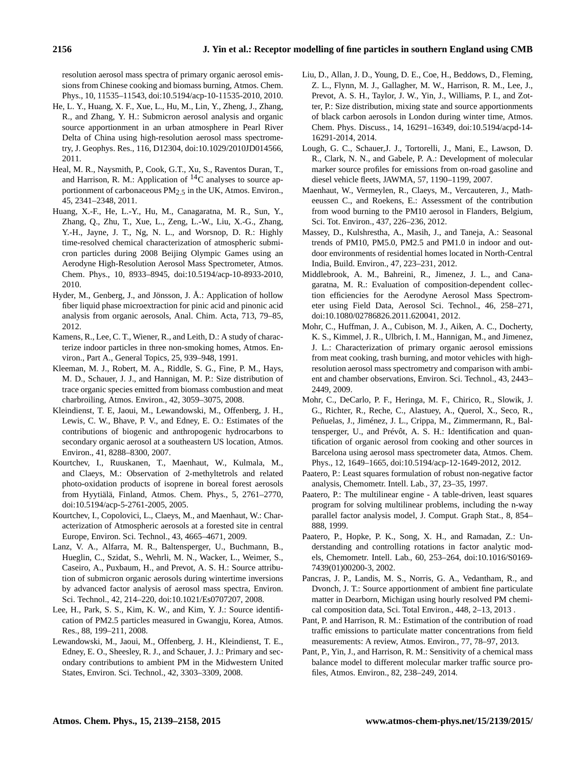resolution aerosol mass spectra of primary organic aerosol emissions from Chinese cooking and biomass burning, Atmos. Chem. Phys., 10, 11535–11543, doi[:10.5194/acp-10-11535-2010,](http://dx.doi.org/10.5194/acp-10-11535-2010) 2010.

- He, L. Y., Huang, X. F., Xue, L., Hu, M., Lin, Y., Zheng, J., Zhang, R., and Zhang, Y. H.: Submicron aerosol analysis and organic source apportionment in an urban atmosphere in Pearl River Delta of China using high-resolution aerosol mass spectrometry, J. Geophys. Res., 116, D12304, doi[:10.1029/2010JD014566,](http://dx.doi.org/10.1029/2010JD014566) 2011.
- Heal, M. R., Naysmith, P., Cook, G.T., Xu, S., Raventos Duran, T., and Harrison, R. M.: Application of  $^{14}$ C analyses to source apportionment of carbonaceous PM<sub>2.5</sub> in the UK, Atmos. Environ., 45, 2341–2348, 2011.
- Huang, X.-F., He, L.-Y., Hu, M., Canagaratna, M. R., Sun, Y., Zhang, Q., Zhu, T., Xue, L., Zeng, L.-W., Liu, X.-G., Zhang, Y.-H., Jayne, J. T., Ng, N. L., and Worsnop, D. R.: Highly time-resolved chemical characterization of atmospheric submicron particles during 2008 Beijing Olympic Games using an Aerodyne High-Resolution Aerosol Mass Spectrometer, Atmos. Chem. Phys., 10, 8933–8945, doi[:10.5194/acp-10-8933-2010,](http://dx.doi.org/10.5194/acp-10-8933-2010) 2010.
- Hyder, M., Genberg, J., and Jönsson, J. Å.: Application of hollow fiber liquid phase microextraction for pinic acid and pinonic acid analysis from organic aerosols, Anal. Chim. Acta, 713, 79–85, 2012.
- Kamens, R., Lee, C. T., Wiener, R., and Leith, D.: A study of characterize indoor particles in three non-smoking homes, Atmos. Environ., Part A., General Topics, 25, 939–948, 1991.
- Kleeman, M. J., Robert, M. A., Riddle, S. G., Fine, P. M., Hays, M. D., Schauer, J. J., and Hannigan, M. P.: Size distribution of trace organic species emitted from biomass combustion and meat charbroiling, Atmos. Environ., 42, 3059–3075, 2008.
- Kleindienst, T. E, Jaoui, M., Lewandowski, M., Offenberg, J. H., Lewis, C. W., Bhave, P. V., and Edney, E. O.: Estimates of the contributions of biogenic and anthropogenic hydrocarbons to secondary organic aerosol at a southeastern US location, Atmos. Environ., 41, 8288–8300, 2007.
- Kourtchev, I., Ruuskanen, T., Maenhaut, W., Kulmala, M., and Claeys, M.: Observation of 2-methyltetrols and related photo-oxidation products of isoprene in boreal forest aerosols from Hyytiälä, Finland, Atmos. Chem. Phys., 5, 2761–2770, doi[:10.5194/acp-5-2761-2005,](http://dx.doi.org/10.5194/acp-5-2761-2005) 2005.
- Kourtchev, I., Copolovici, L., Claeys, M., and Maenhaut, W.: Characterization of Atmospheric aerosols at a forested site in central Europe, Environ. Sci. Technol., 43, 4665–4671, 2009.
- Lanz, V. A., Alfarra, M. R., Baltensperger, U., Buchmann, B., Hueglin, C., Szidat, S., Wehrli, M. N., Wacker, L., Weimer, S., Caseiro, A., Puxbaum, H., and Prevot, A. S. H.: Source attribution of submicron organic aerosols during wintertime inversions by advanced factor analysis of aerosol mass spectra, Environ. Sci. Technol., 42, 214–220, doi[:10.1021/Es0707207,](http://dx.doi.org/10.1021/Es0707207) 2008.
- Lee, H., Park, S. S., Kim, K. W., and Kim, Y. J.: Source identification of PM2.5 particles measured in Gwangju, Korea, Atmos. Res., 88, 199–211, 2008.
- Lewandowski, M., Jaoui, M., Offenberg, J. H., Kleindienst, T. E., Edney, E. O., Sheesley, R. J., and Schauer, J. J.: Primary and secondary contributions to ambient PM in the Midwestern United States, Environ. Sci. Technol., 42, 3303–3309, 2008.
- Liu, D., Allan, J. D., Young, D. E., Coe, H., Beddows, D., Fleming, Z. L., Flynn, M. J., Gallagher, M. W., Harrison, R. M., Lee, J., Prevot, A. S. H., Taylor, J. W., Yin, J., Williams, P. I., and Zotter, P.: Size distribution, mixing state and source apportionments of black carbon aerosols in London during winter time, Atmos. Chem. Phys. Discuss., 14, 16291–16349, doi[:10.5194/acpd-14-](http://dx.doi.org/10.5194/acpd-14-16291-2014) [16291-2014,](http://dx.doi.org/10.5194/acpd-14-16291-2014) 2014.
- Lough, G. C., Schauer,J. J., Tortorelli, J., Mani, E., Lawson, D. R., Clark, N. N., and Gabele, P. A.: Development of molecular marker source profiles for emissions from on-road gasoline and diesel vehicle fleets, JAWMA, 57, 1190–1199, 2007.
- Maenhaut, W., Vermeylen, R., Claeys, M., Vercauteren, J., Matheeussen C., and Roekens, E.: Assessment of the contribution from wood burning to the PM10 aerosol in Flanders, Belgium, Sci. Tot. Environ., 437, 226–236, 2012.
- Massey, D., Kulshrestha, A., Masih, J., and Taneja, A.: Seasonal trends of PM10, PM5.0, PM2.5 and PM1.0 in indoor and outdoor environments of residential homes located in North-Central India, Build. Environ., 47, 223–231, 2012.
- Middlebrook, A. M., Bahreini, R., Jimenez, J. L., and Canagaratna, M. R.: Evaluation of composition-dependent collection efficiencies for the Aerodyne Aerosol Mass Spectrometer using Field Data, Aerosol Sci. Technol., 46, 258–271, doi[:10.1080/02786826.2011.620041,](http://dx.doi.org/10.1080/02786826.2011.620041) 2012.
- Mohr, C., Huffman, J. A., Cubison, M. J., Aiken, A. C., Docherty, K. S., Kimmel, J. R., Ulbrich, I. M., Hannigan, M., and Jimenez, J. L.: Characterization of primary organic aerosol emissions from meat cooking, trash burning, and motor vehicles with highresolution aerosol mass spectrometry and comparison with ambient and chamber observations, Environ. Sci. Technol., 43, 2443– 2449, 2009.
- Mohr, C., DeCarlo, P. F., Heringa, M. F., Chirico, R., Slowik, J. G., Richter, R., Reche, C., Alastuey, A., Querol, X., Seco, R., Peñuelas, J., Jiménez, J. L., Crippa, M., Zimmermann, R., Baltensperger, U., and Prévôt, A. S. H.: Identification and quantification of organic aerosol from cooking and other sources in Barcelona using aerosol mass spectrometer data, Atmos. Chem. Phys., 12, 1649–1665, doi[:10.5194/acp-12-1649-2012,](http://dx.doi.org/10.5194/acp-12-1649-2012) 2012.
- Paatero, P.: Least squares formulation of robust non-negative factor analysis, Chemometr. Intell. Lab., 37, 23–35, 1997.
- Paatero, P.: The multilinear engine A table-driven, least squares program for solving multilinear problems, including the n-way parallel factor analysis model, J. Comput. Graph Stat., 8, 854– 888, 1999.
- Paatero, P., Hopke, P. K., Song, X. H., and Ramadan, Z.: Understanding and controlling rotations in factor analytic models, Chemometr. Intell. Lab., 60, 253–264, doi[:10.1016/S0169-](http://dx.doi.org/10.1016/S0169-7439(01)00200-3) [7439\(01\)00200-3,](http://dx.doi.org/10.1016/S0169-7439(01)00200-3) 2002.
- Pancras, J. P., Landis, M. S., Norris, G. A., Vedantham, R., and Dvonch, J. T.: Source apportionment of ambient fine particulate matter in Dearborn, Michigan using hourly resolved PM chemical composition data, Sci. Total Environ., 448, 2–13, 2013 .
- Pant, P. and Harrison, R. M.: Estimation of the contribution of road traffic emissions to particulate matter concentrations from field measurements: A review, Atmos. Environ., 77, 78–97, 2013.
- Pant, P., Yin, J., and Harrison, R. M.: Sensitivity of a chemical mass balance model to different molecular marker traffic source profiles, Atmos. Environ., 82, 238–249, 2014.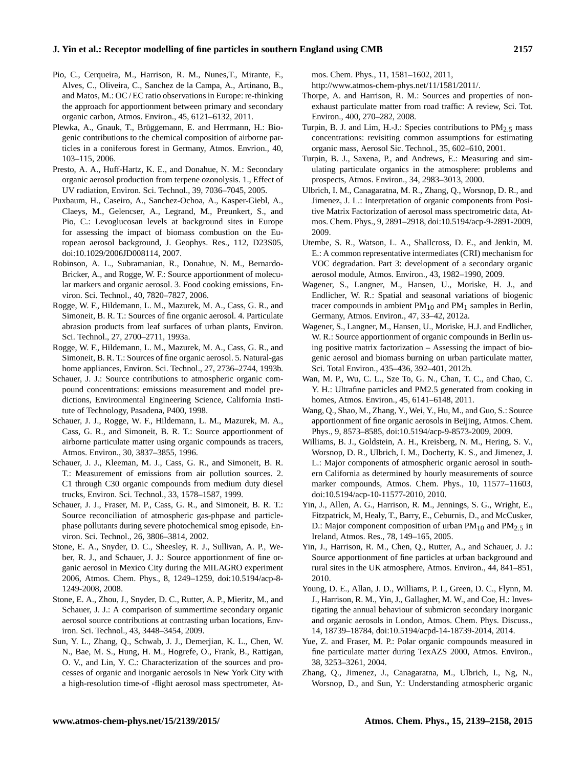- Pio, C., Cerqueira, M., Harrison, R. M., Nunes,T., Mirante, F., Alves, C., Oliveira, C., Sanchez de la Campa, A., Artinano, B., and Matos, M.: OC / EC ratio observations in Europe: re-thinking the approach for apportionment between primary and secondary organic carbon, Atmos. Environ., 45, 6121–6132, 2011.
- Plewka, A., Gnauk, T., Brüggemann, E. and Herrmann, H.: Biogenic contributions to the chemical composition of airborne particles in a coniferous forest in Germany, Atmos. Envrion., 40, 103–115, 2006.
- Presto, A. A., Huff-Hartz, K. E., and Donahue, N. M.: Secondary organic aerosol production from terpene ozonolysis. 1., Effect of UV radiation, Environ. Sci. Technol., 39, 7036–7045, 2005.
- Puxbaum, H., Caseiro, A., Sanchez-Ochoa, A., Kasper-Giebl, A., Claeys, M., Gelencser, A., Legrand, M., Preunkert, S., and Pio, C.: Levoglucosan levels at background sites in Europe for assessing the impact of biomass combustion on the European aerosol background, J. Geophys. Res., 112, D23S05, doi[:10.1029/2006JD008114,](http://dx.doi.org/10.1029/2006JD008114) 2007.
- Robinson, A. L., Subramanian, R., Donahue, N. M., Bernardo-Bricker, A., and Rogge, W. F.: Source apportionment of molecular markers and organic aerosol. 3. Food cooking emissions, Environ. Sci. Technol., 40, 7820–7827, 2006.
- Rogge, W. F., Hildemann, L. M., Mazurek, M. A., Cass, G. R., and Simoneit, B. R. T.: Sources of fine organic aerosol. 4. Particulate abrasion products from leaf surfaces of urban plants, Environ. Sci. Technol., 27, 2700–2711, 1993a.
- Rogge, W. F., Hildemann, L. M., Mazurek, M. A., Cass, G. R., and Simoneit, B. R. T.: Sources of fine organic aerosol. 5. Natural-gas home appliances, Environ. Sci. Technol., 27, 2736–2744, 1993b.
- Schauer, J. J.: Source contributions to atmospheric organic compound concentrations: emissions measurement and model predictions, Environmental Engineering Science, California Institute of Technology, Pasadena, P400, 1998.
- Schauer, J. J., Rogge, W. F., Hildemann, L. M., Mazurek, M. A., Cass, G. R., and Simoneit, B. R. T.: Source apportionment of airborne particulate matter using organic compounds as tracers, Atmos. Environ., 30, 3837–3855, 1996.
- Schauer, J. J., Kleeman, M. J., Cass, G. R., and Simoneit, B. R. T.: Measurement of emissions from air pollution sources. 2. C1 through C30 organic compounds from medium duty diesel trucks, Environ. Sci. Technol., 33, 1578–1587, 1999.
- Schauer, J. J., Fraser, M. P., Cass, G. R., and Simoneit, B. R. T.: Source reconciliation of atmospheric gas-phpase and particlephase pollutants during severe photochemical smog episode, Environ. Sci. Technol., 26, 3806–3814, 2002.
- Stone, E. A., Snyder, D. C., Sheesley, R. J., Sullivan, A. P., Weber, R. J., and Schauer, J. J.: Source apportionment of fine organic aerosol in Mexico City during the MILAGRO experiment 2006, Atmos. Chem. Phys., 8, 1249–1259, doi[:10.5194/acp-8-](http://dx.doi.org/10.5194/acp-8-1249-2008) [1249-2008,](http://dx.doi.org/10.5194/acp-8-1249-2008) 2008.
- Stone, E. A., Zhou, J., Snyder, D. C., Rutter, A. P., Mieritz, M., and Schauer, J. J.: A comparison of summertime secondary organic aerosol source contributions at contrasting urban locations, Environ. Sci. Technol., 43, 3448–3454, 2009.
- Sun, Y. L., Zhang, Q., Schwab, J. J., Demerjian, K. L., Chen, W. N., Bae, M. S., Hung, H. M., Hogrefe, O., Frank, B., Rattigan, O. V., and Lin, Y. C.: Characterization of the sources and processes of organic and inorganic aerosols in New York City with a high-resolution time-of -flight aerosol mass spectrometer, At-

mos. Chem. Phys., 11, 1581–1602, 2011,

[http://www.atmos-chem-phys.net/11/1581/2011/.](http://www.atmos-chem-phys.net/11/1581/2011/)

- Thorpe, A. and Harrison, R. M.: Sources and properties of nonexhaust particulate matter from road traffic: A review, Sci. Tot. Environ., 400, 270–282, 2008.
- Turpin, B. J. and Lim, H.-J.: Species contributions to  $PM_2$ , mass concentrations: revisiting common assumptions for estimating organic mass, Aerosol Sic. Technol., 35, 602–610, 2001.
- Turpin, B. J., Saxena, P., and Andrews, E.: Measuring and simulating particulate organics in the atmosphere: problems and prospects, Atmos. Environ., 34, 2983–3013, 2000.
- Ulbrich, I. M., Canagaratna, M. R., Zhang, Q., Worsnop, D. R., and Jimenez, J. L.: Interpretation of organic components from Positive Matrix Factorization of aerosol mass spectrometric data, Atmos. Chem. Phys., 9, 2891–2918, doi[:10.5194/acp-9-2891-2009,](http://dx.doi.org/10.5194/acp-9-2891-2009) 2009.
- Utembe, S. R., Watson, L. A., Shallcross, D. E., and Jenkin, M. E.: A common representative intermediates (CRI) mechanism for VOC degradation. Part 3: development of a secondary organic aerosol module, Atmos. Environ., 43, 1982–1990, 2009.
- Wagener, S., Langner, M., Hansen, U., Moriske, H. J., and Endlicher, W. R.: Spatial and seasonal variations of biogenic tracer compounds in ambient  $PM_{10}$  and  $PM_1$  samples in Berlin, Germany, Atmos. Environ., 47, 33–42, 2012a.
- Wagener, S., Langner, M., Hansen, U., Moriske, H.J. and Endlicher, W. R.: Source apportionment of organic compounds in Berlin using positive matrix factorization – Assessing the impact of biogenic aerosol and biomass burning on urban particulate matter, Sci. Total Environ., 435–436, 392–401, 2012b.
- Wan, M. P., Wu, C. L., Sze To, G. N., Chan, T. C., and Chao, C. Y. H.: Ultrafine particles and PM2.5 generated from cooking in homes, Atmos. Environ., 45, 6141–6148, 2011.
- Wang, Q., Shao, M., Zhang, Y., Wei, Y., Hu, M., and Guo, S.: Source apportionment of fine organic aerosols in Beijing, Atmos. Chem. Phys., 9, 8573–8585, doi[:10.5194/acp-9-8573-2009,](http://dx.doi.org/10.5194/acp-9-8573-2009) 2009.
- Williams, B. J., Goldstein, A. H., Kreisberg, N. M., Hering, S. V., Worsnop, D. R., Ulbrich, I. M., Docherty, K. S., and Jimenez, J. L.: Major components of atmospheric organic aerosol in southern California as determined by hourly measurements of source marker compounds, Atmos. Chem. Phys., 10, 11577–11603, doi[:10.5194/acp-10-11577-2010,](http://dx.doi.org/10.5194/acp-10-11577-2010) 2010.
- Yin, J., Allen, A. G., Harrison, R. M., Jennings, S. G., Wright, E., Fitzpatrick, M, Healy, T., Barry, E., Ceburnis, D., and McCusker, D.: Major component composition of urban  $PM_{10}$  and  $PM_{2.5}$  in Ireland, Atmos. Res., 78, 149–165, 2005.
- Yin, J., Harrison, R. M., Chen, Q., Rutter, A., and Schauer, J. J.: Source apportionment of fine particles at urban background and rural sites in the UK atmosphere, Atmos. Environ., 44, 841–851, 2010.
- Young, D. E., Allan, J. D., Williams, P. I., Green, D. C., Flynn, M. J., Harrison, R. M., Yin, J., Gallagher, M. W., and Coe, H.: Investigating the annual behaviour of submicron secondary inorganic and organic aerosols in London, Atmos. Chem. Phys. Discuss., 14, 18739–18784, doi[:10.5194/acpd-14-18739-2014,](http://dx.doi.org/10.5194/acpd-14-18739-2014) 2014.
- Yue, Z. and Fraser, M. P.: Polar organic compounds measured in fine particulate matter during TexAZS 2000, Atmos. Environ., 38, 3253–3261, 2004.
- Zhang, Q., Jimenez, J., Canagaratna, M., Ulbrich, I., Ng, N., Worsnop, D., and Sun, Y.: Understanding atmospheric organic